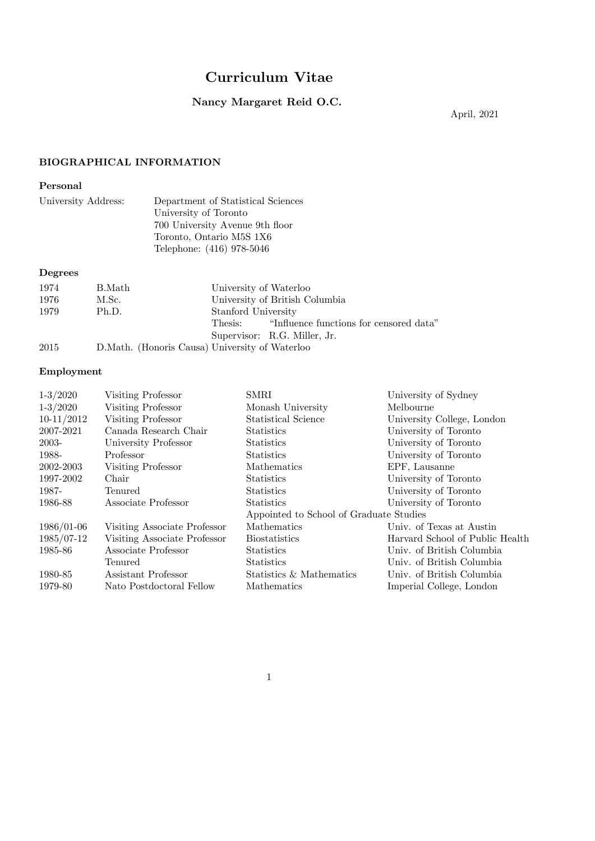# Curriculum Vitae

# Nancy Margaret Reid O.C.

April, 2021

# BIOGRAPHICAL INFORMATION

# Personal

| University Address: | Department of Statistical Sciences |
|---------------------|------------------------------------|
|                     | University of Toronto              |
|                     | 700 University Avenue 9th floor    |
|                     | Toronto, Ontario M5S 1X6           |
|                     | Telephone: (416) 978-5046          |
| Degrees             |                                    |

# 1974 B.Math University of Waterloo 1976 M.Sc. University of British Co 1976 M.Sc. University of British Columbia<br>1979 Ph.D. Stanford University Stanford University<br>Thesis: "Influe "Influence functions for censored data" Supervisor: R.G. Miller, Jr. 2015 D.Math. (Honoris Causa) University of Waterloo

# Employment

| $1-3/2020$   | Visiting Professor           | <b>SMRI</b>                             | University of Sydney            |
|--------------|------------------------------|-----------------------------------------|---------------------------------|
| $1-3/2020$   | Visiting Professor           | Monash University                       | Melbourne                       |
| $10-11/2012$ | Visiting Professor           | Statistical Science                     | University College, London      |
| 2007-2021    | Canada Research Chair        | <b>Statistics</b>                       | University of Toronto           |
| 2003-        | University Professor         | <b>Statistics</b>                       | University of Toronto           |
| 1988-        | Professor                    | <b>Statistics</b>                       | University of Toronto           |
| 2002-2003    | Visiting Professor           | Mathematics                             | EPF, Lausanne                   |
| 1997-2002    | Chair                        | <b>Statistics</b>                       | University of Toronto           |
| 1987-        | <b>Tenured</b>               | <b>Statistics</b>                       | University of Toronto           |
| 1986-88      | Associate Professor          | <b>Statistics</b>                       | University of Toronto           |
|              |                              | Appointed to School of Graduate Studies |                                 |
| 1986/01-06   | Visiting Associate Professor | Mathematics                             | Univ. of Texas at Austin        |
| 1985/07-12   | Visiting Associate Professor | <b>Biostatistics</b>                    | Harvard School of Public Health |
| 1985-86      | Associate Professor          | <b>Statistics</b>                       | Univ. of British Columbia       |
|              | <b>Tenured</b>               | <b>Statistics</b>                       | Univ. of British Columbia       |
| 1980-85      | Assistant Professor          | Statistics & Mathematics                | Univ. of British Columbia       |
| 1979-80      | Nato Postdoctoral Fellow     | Mathematics                             | Imperial College, London        |
|              |                              |                                         |                                 |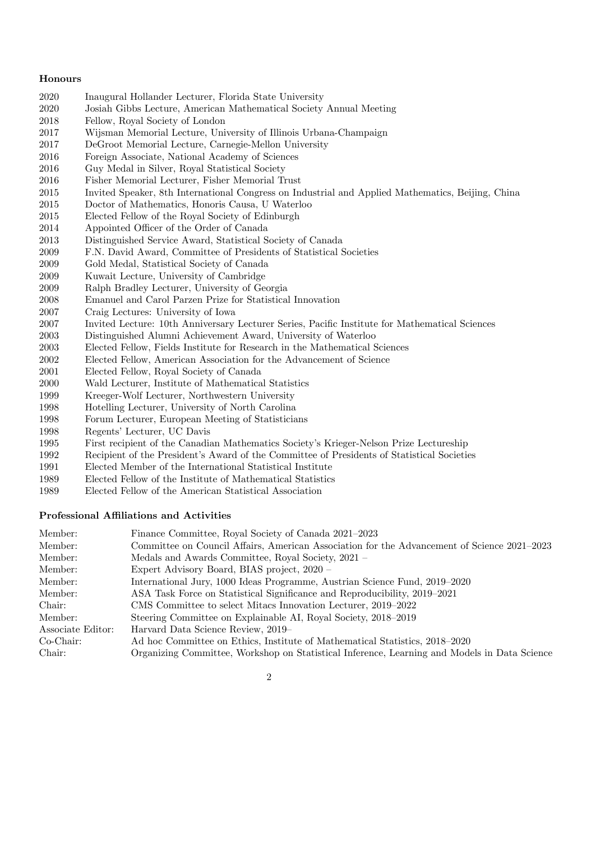#### Honours

- Inaugural Hollander Lecturer, Florida State University
- Josiah Gibbs Lecture, American Mathematical Society Annual Meeting
- Fellow, Royal Society of London
- Wijsman Memorial Lecture, University of Illinois Urbana-Champaign
- DeGroot Memorial Lecture, Carnegie-Mellon University
- Foreign Associate, National Academy of Sciences
- Guy Medal in Silver, Royal Statistical Society
- Fisher Memorial Lecturer, Fisher Memorial Trust
- Invited Speaker, 8th International Congress on Industrial and Applied Mathematics, Beijing, China
- Doctor of Mathematics, Honoris Causa, U Waterloo
- Elected Fellow of the Royal Society of Edinburgh
- Appointed Officer of the Order of Canada
- Distinguished Service Award, Statistical Society of Canada
- F.N. David Award, Committee of Presidents of Statistical Societies
- Gold Medal, Statistical Society of Canada
- Kuwait Lecture, University of Cambridge
- Ralph Bradley Lecturer, University of Georgia
- Emanuel and Carol Parzen Prize for Statistical Innovation
- Craig Lectures: University of Iowa
- Invited Lecture: 10th Anniversary Lecturer Series, Pacific Institute for Mathematical Sciences
- Distinguished Alumni Achievement Award, University of Waterloo
- Elected Fellow, Fields Institute for Research in the Mathematical Sciences
- Elected Fellow, American Association for the Advancement of Science
- Elected Fellow, Royal Society of Canada
- Wald Lecturer, Institute of Mathematical Statistics
- Kreeger-Wolf Lecturer, Northwestern University
- Hotelling Lecturer, University of North Carolina
- Forum Lecturer, European Meeting of Statisticians
- Regents' Lecturer, UC Davis
- First recipient of the Canadian Mathematics Society's Krieger-Nelson Prize Lectureship
- Recipient of the President's Award of the Committee of Presidents of Statistical Societies
- Elected Member of the International Statistical Institute
- Elected Fellow of the Institute of Mathematical Statistics
- Elected Fellow of the American Statistical Association

#### Professional Affiliations and Activities

| Member:           | Finance Committee, Royal Society of Canada 2021–2023                                         |
|-------------------|----------------------------------------------------------------------------------------------|
| Member:           | Committee on Council Affairs, American Association for the Advancement of Science 2021–2023  |
| Member:           | Medals and Awards Committee, Royal Society, 2021 -                                           |
| Member:           | Expert Advisory Board, BIAS project, 2020 -                                                  |
| Member:           | International Jury, 1000 Ideas Programme, Austrian Science Fund, 2019–2020                   |
| Member:           | ASA Task Force on Statistical Significance and Reproducibility, 2019–2021                    |
| Chair:            | CMS Committee to select Mitacs Innovation Lecturer, 2019–2022                                |
| Member:           | Steering Committee on Explainable AI, Royal Society, 2018–2019                               |
| Associate Editor: | Harvard Data Science Review, 2019–                                                           |
| $Co-Chair:$       | Ad hoc Committee on Ethics, Institute of Mathematical Statistics, 2018–2020                  |
| Chair:            | Organizing Committee, Workshop on Statistical Inference, Learning and Models in Data Science |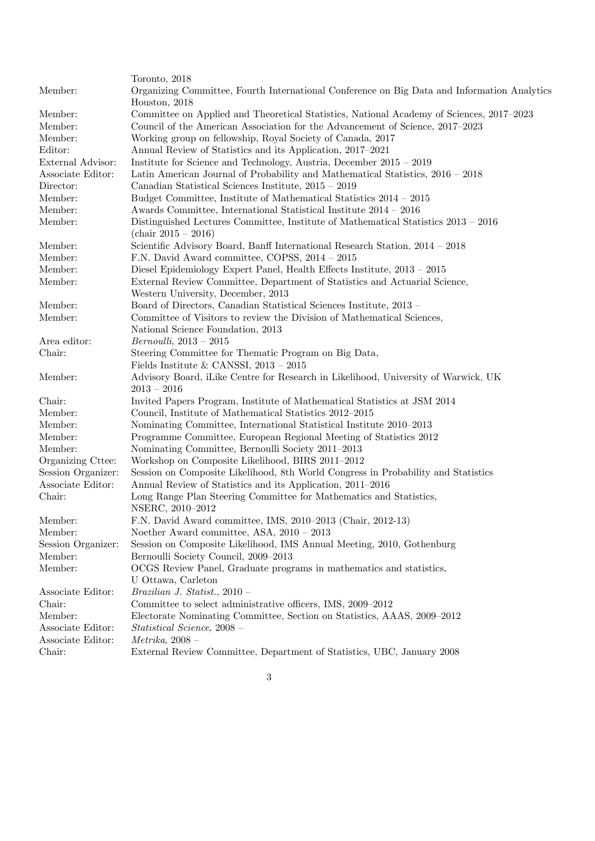|                    | Toronto, 2018                                                                                                                  |
|--------------------|--------------------------------------------------------------------------------------------------------------------------------|
| Member:            | Organizing Committee, Fourth International Conference on Big Data and Information Analytics<br>Houston, 2018                   |
| Member:            | Committee on Applied and Theoretical Statistics, National Academy of Sciences, 2017–2023                                       |
| Member:            | Council of the American Association for the Advancement of Science, 2017–2023                                                  |
| Member:            | Working group on fellowship, Royal Society of Canada, 2017                                                                     |
| Editor:            | Annual Review of Statistics and its Application, 2017–2021                                                                     |
| External Advisor:  | Institute for Science and Technology, Austria, December $2015 - 2019$                                                          |
| Associate Editor:  | Latin American Journal of Probability and Mathematical Statistics, 2016 - 2018                                                 |
| Director:          | Canadian Statistical Sciences Institute, 2015 - 2019                                                                           |
| Member:            | Budget Committee, Institute of Mathematical Statistics 2014 - 2015                                                             |
| Member:            | Awards Committee, International Statistical Institute 2014 - 2016                                                              |
| Member:            | Distinguished Lectures Committee, Institute of Mathematical Statistics 2013 - 2016<br>$\left(\text{chair } 2015 - 2016\right)$ |
| Member:            | Scientific Advisory Board, Banff International Research Station, 2014 - 2018                                                   |
| Member:            | F.N. David Award committee, COPSS, 2014 - 2015                                                                                 |
| Member:            | Diesel Epidemiology Expert Panel, Health Effects Institute, $2013 - 2015$                                                      |
| Member:            | External Review Committee, Department of Statistics and Actuarial Science,                                                     |
|                    | Western University, December, 2013                                                                                             |
| Member:            | Board of Directors, Canadian Statistical Sciences Institute, 2013 -                                                            |
| Member:            | Committee of Visitors to review the Division of Mathematical Sciences,                                                         |
|                    | National Science Foundation, 2013                                                                                              |
| Area editor:       | $Bernoulli, 2013 - 2015$                                                                                                       |
| Chair:             | Steering Committee for Thematic Program on Big Data,                                                                           |
|                    | Fields Institute & CANSSI, $2013 - 2015$                                                                                       |
| Member:            | Advisory Board, iLike Centre for Research in Likelihood, University of Warwick, UK<br>$2013 - 2016$                            |
| Chair:             | Invited Papers Program, Institute of Mathematical Statistics at JSM 2014                                                       |
| Member:            | Council, Institute of Mathematical Statistics 2012-2015                                                                        |
| Member:            | Nominating Committee, International Statistical Institute 2010-2013                                                            |
| Member:            | Programme Committee, European Regional Meeting of Statistics 2012                                                              |
| Member:            | Nominating Committee, Bernoulli Society 2011-2013                                                                              |
| Organizing Cttee:  | Workshop on Composite Likelihood, BIRS 2011-2012                                                                               |
| Session Organizer: | Session on Composite Likelihood, 8th World Congress in Probability and Statistics                                              |
| Associate Editor:  | Annual Review of Statistics and its Application, 2011–2016                                                                     |
| Chair:             | Long Range Plan Steering Committee for Mathematics and Statistics,<br>NSERC, 2010-2012                                         |
| Member:            | F.N. David Award committee, IMS, 2010-2013 (Chair, 2012-13)                                                                    |
| Member:            | Noether Award committee, ASA, $2010 - 2013$                                                                                    |
| Session Organizer: | Session on Composite Likelihood, IMS Annual Meeting, 2010, Gothenburg                                                          |
| Member:            | Bernoulli Society Council, 2009-2013                                                                                           |
| Member:            | OCGS Review Panel, Graduate programs in mathematics and statistics,                                                            |
|                    | U Ottawa, Carleton                                                                                                             |
| Associate Editor:  | Brazilian J. Statist., $2010 -$                                                                                                |
| Chair:             | Committee to select administrative officers, IMS, 2009–2012                                                                    |
| Member:            | Electorate Nominating Committee, Section on Statistics, AAAS, 2009–2012                                                        |
| Associate Editor:  | Statistical Science, 2008 -                                                                                                    |
| Associate Editor:  | $Metrika$ , 2008 -                                                                                                             |
| Chair:             | External Review Committee, Department of Statistics, UBC, January 2008                                                         |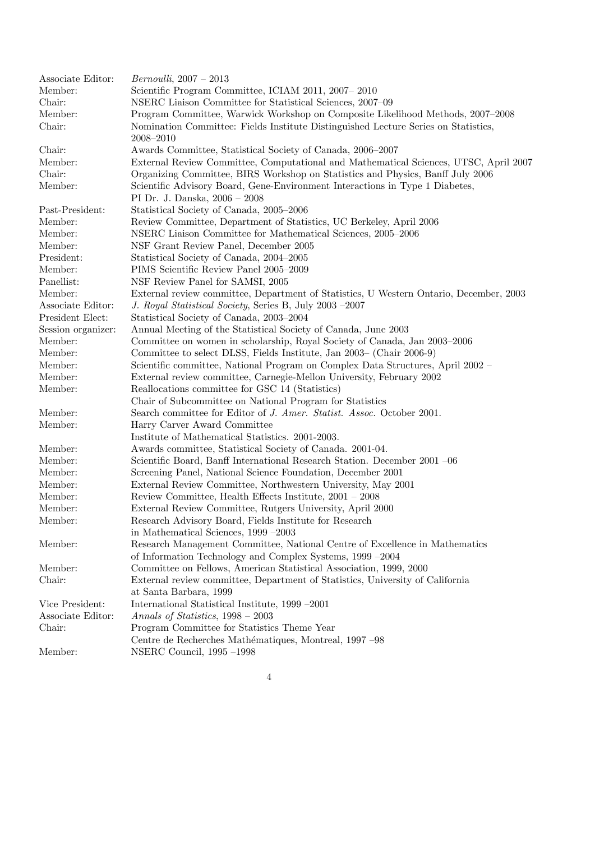Associate Editor: *Bernoulli*, 2007 – 2013 Member: Scientific Program Committee, ICIAM 2011, 2007– 2010 Chair: NSERC Liaison Committee for Statistical Sciences, 2007–09 Member: Program Committee, Warwick Workshop on Composite Likelihood Methods, 2007–2008 Chair: Nomination Committee: Fields Institute Distinguished Lecture Series on Statistics, 2008–2010 Chair: Awards Committee, Statistical Society of Canada, 2006–2007 Member: External Review Committee, Computational and Mathematical Sciences, UTSC, April 2007 Chair: Organizing Committee, BIRS Workshop on Statistics and Physics, Banff July 2006 Member: Scientific Advisory Board, Gene-Environment Interactions in Type 1 Diabetes, PI Dr. J. Danska, 2006 – 2008 Past-President: Statistical Society of Canada, 2005–2006 Member: Review Committee, Department of Statistics, UC Berkeley, April 2006 Member: NSERC Liaison Committee for Mathematical Sciences, 2005–2006 Member: NSF Grant Review Panel, December 2005 President: Statistical Society of Canada, 2004–2005 Member: PIMS Scientific Review Panel 2005–2009 Panellist: NSF Review Panel for SAMSI, 2005 Member: External review committee, Department of Statistics, U Western Ontario, December, 2003 Associate Editor: *J. Royal Statistical Society*, Series B, July 2003 –2007 President Elect: Statistical Society of Canada, 2003–2004 Session organizer: Annual Meeting of the Statistical Society of Canada, June 2003 Member: Committee on women in scholarship, Royal Society of Canada, Jan 2003–2006 Member: Committee to select DLSS, Fields Institute, Jan 2003– (Chair 2006-9) Member: Scientific committee, National Program on Complex Data Structures, April 2002 – Member: External review committee, Carnegie-Mellon University, February 2002 Member: Reallocations committee for GSC 14 (Statistics) Chair of Subcommittee on National Program for Statistics Member: Search committee for Editor of *J. Amer. Statist. Assoc.* October 2001. Member: Harry Carver Award Committee Institute of Mathematical Statistics. 2001-2003. Member: Awards committee, Statistical Society of Canada. 2001-04. Member: Scientific Board, Banff International Research Station. December 2001 –06 Member: Screening Panel, National Science Foundation, December 2001 Member: External Review Committee, Northwestern University, May 2001 Member: Review Committee, Health Effects Institute, 2001 – 2008 Member: External Review Committee, Rutgers University, April 2000 Member: Research Advisory Board, Fields Institute for Research in Mathematical Sciences, 1999 –2003 Member: Research Management Committee, National Centre of Excellence in Mathematics of Information Technology and Complex Systems, 1999 –2004 Member: Committee on Fellows, American Statistical Association, 1999, 2000 Chair: External review committee, Department of Statistics, University of California at Santa Barbara, 1999 Vice President: International Statistical Institute, 1999 –2001 Associate Editor: *Annals of Statistics*, 1998 – 2003 Chair: Program Committee for Statistics Theme Year Centre de Recherches Mathématiques, Montreal, 1997 –98 Member: NSERC Council, 1995 –1998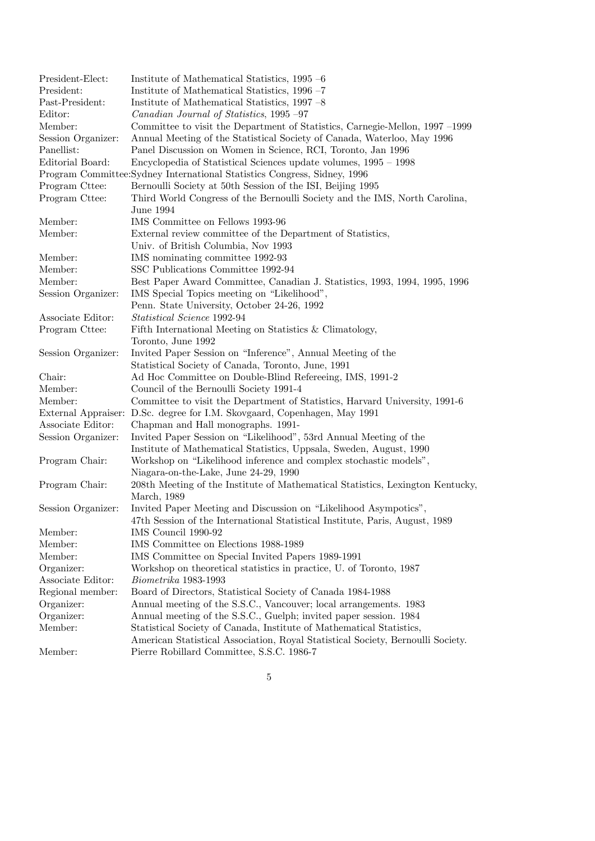| President-Elect:   | Institute of Mathematical Statistics, 1995 -6                                           |  |  |  |
|--------------------|-----------------------------------------------------------------------------------------|--|--|--|
| President:         | Institute of Mathematical Statistics, 1996 -7                                           |  |  |  |
| Past-President:    | Institute of Mathematical Statistics, 1997 -8                                           |  |  |  |
| Editor:            | Canadian Journal of Statistics, 1995 -97                                                |  |  |  |
| Member:            | Committee to visit the Department of Statistics, Carnegie-Mellon, 1997 –1999            |  |  |  |
| Session Organizer: | Annual Meeting of the Statistical Society of Canada, Waterloo, May 1996                 |  |  |  |
| Panellist:         | Panel Discussion on Women in Science, RCI, Toronto, Jan 1996                            |  |  |  |
| Editorial Board:   | Encyclopedia of Statistical Sciences update volumes, 1995 – 1998                        |  |  |  |
|                    | Program Committee: Sydney International Statistics Congress, Sidney, 1996               |  |  |  |
| Program Cttee:     | Bernoulli Society at 50th Session of the ISI, Beijing 1995                              |  |  |  |
| Program Cttee:     | Third World Congress of the Bernoulli Society and the IMS, North Carolina,<br>June 1994 |  |  |  |
| Member:            | IMS Committee on Fellows 1993-96                                                        |  |  |  |
| Member:            | External review committee of the Department of Statistics,                              |  |  |  |
|                    | Univ. of British Columbia, Nov 1993                                                     |  |  |  |
| Member:            | IMS nominating committee 1992-93                                                        |  |  |  |
| Member:            | SSC Publications Committee 1992-94                                                      |  |  |  |
| Member:            | Best Paper Award Committee, Canadian J. Statistics, 1993, 1994, 1995, 1996              |  |  |  |
| Session Organizer: | IMS Special Topics meeting on "Likelihood",                                             |  |  |  |
|                    | Penn. State University, October 24-26, 1992                                             |  |  |  |
| Associate Editor:  | Statistical Science 1992-94                                                             |  |  |  |
| Program Cttee:     | Fifth International Meeting on Statistics & Climatology,                                |  |  |  |
|                    | Toronto, June 1992                                                                      |  |  |  |
| Session Organizer: | Invited Paper Session on "Inference", Annual Meeting of the                             |  |  |  |
|                    | Statistical Society of Canada, Toronto, June, 1991                                      |  |  |  |
| Chair:             | Ad Hoc Committee on Double-Blind Refereeing, IMS, 1991-2                                |  |  |  |
| Member:            | Council of the Bernoulli Society 1991-4                                                 |  |  |  |
| Member:            | Committee to visit the Department of Statistics, Harvard University, 1991-6             |  |  |  |
|                    | External Appraiser: D.Sc. degree for I.M. Skovgaard, Copenhagen, May 1991               |  |  |  |
| Associate Editor:  | Chapman and Hall monographs. 1991-                                                      |  |  |  |
| Session Organizer: | Invited Paper Session on "Likelihood", 53rd Annual Meeting of the                       |  |  |  |
|                    | Institute of Mathematical Statistics, Uppsala, Sweden, August, 1990                     |  |  |  |
| Program Chair:     | Workshop on "Likelihood inference and complex stochastic models",                       |  |  |  |
|                    | Niagara-on-the-Lake, June 24-29, 1990                                                   |  |  |  |
| Program Chair:     | 208th Meeting of the Institute of Mathematical Statistics, Lexington Kentucky,          |  |  |  |
|                    | March, 1989                                                                             |  |  |  |
| Session Organizer: | Invited Paper Meeting and Discussion on "Likelihood Asympotics",                        |  |  |  |
|                    | 47th Session of the International Statistical Institute, Paris, August, 1989            |  |  |  |
| Member:            | IMS Council 1990-92                                                                     |  |  |  |
| Member:            | IMS Committee on Elections 1988-1989                                                    |  |  |  |
| Member:            | IMS Committee on Special Invited Papers 1989-1991                                       |  |  |  |
| Organizer:         | Workshop on theoretical statistics in practice, U. of Toronto, 1987                     |  |  |  |
| Associate Editor:  | Biometrika 1983-1993                                                                    |  |  |  |
| Regional member:   | Board of Directors, Statistical Society of Canada 1984-1988                             |  |  |  |
| Organizer:         | Annual meeting of the S.S.C., Vancouver; local arrangements. 1983                       |  |  |  |
| Organizer:         | Annual meeting of the S.S.C., Guelph; invited paper session. 1984                       |  |  |  |
| Member:            | Statistical Society of Canada, Institute of Mathematical Statistics,                    |  |  |  |
|                    | American Statistical Association, Royal Statistical Society, Bernoulli Society.         |  |  |  |
| Member:            | Pierre Robillard Committee, S.S.C. 1986-7                                               |  |  |  |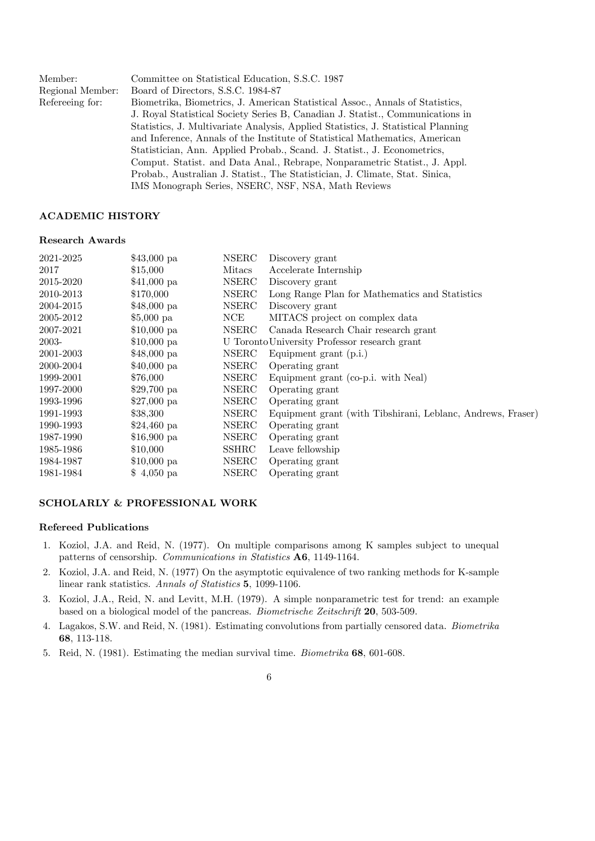| Member:          | Committee on Statistical Education, S.S.C. 1987                                   |
|------------------|-----------------------------------------------------------------------------------|
| Regional Member: | Board of Directors, S.S.C. 1984-87                                                |
| Refereeing for:  | Biometrika, Biometrics, J. American Statistical Assoc., Annals of Statistics,     |
|                  | J. Royal Statistical Society Series B, Canadian J. Statist., Communications in    |
|                  | Statistics, J. Multivariate Analysis, Applied Statistics, J. Statistical Planning |
|                  | and Inference, Annals of the Institute of Statistical Mathematics, American       |
|                  | Statistician, Ann. Applied Probab., Scand. J. Statist., J. Econometrics,          |
|                  | Comput. Statist. and Data Anal., Rebrape, Nonparametric Statist., J. Appl.        |
|                  | Probab., Australian J. Statist., The Statistician, J. Climate, Stat. Sinica,      |
|                  | IMS Monograph Series, NSERC, NSF, NSA, Math Reviews                               |

## ACADEMIC HISTORY

#### Research Awards

| $$43,000$ pa | <b>NSERC</b> | Discovery grant                                             |
|--------------|--------------|-------------------------------------------------------------|
| \$15,000     | Mitacs       | Accelerate Internship                                       |
| $$41,000$ pa | <b>NSERC</b> | Discovery grant                                             |
| \$170,000    | <b>NSERC</b> | Long Range Plan for Mathematics and Statistics              |
| $$48,000$ pa | NSERC        | Discovery grant                                             |
| $$5,000$ pa  | NCE          | MITACS project on complex data                              |
| $$10,000$ pa | NSERC        | Canada Research Chair research grant                        |
| $$10,000$ pa |              | U Toronto University Professor research grant               |
| $$48,000$ pa | <b>NSERC</b> | Equipment grant $(p.i.)$                                    |
| $$40,000$ pa | <b>NSERC</b> | Operating grant                                             |
| \$76,000     | <b>NSERC</b> | Equipment grant (co-p.i. with Neal)                         |
| $$29,700$ pa | <b>NSERC</b> | Operating grant                                             |
| $$27,000$ pa | NSERC        | Operating grant                                             |
| \$38,300     | <b>NSERC</b> | Equipment grant (with Tibshirani, Leblanc, Andrews, Fraser) |
| $$24,460$ pa | NSERC        | Operating grant                                             |
| $$16,900$ pa | NSERC        | Operating grant                                             |
| \$10,000     | <b>SSHRC</b> | Leave fellowship                                            |
| $$10,000$ pa | <b>NSERC</b> | Operating grant                                             |
| $$4,050$ pa  | <b>NSERC</b> | Operating grant                                             |
|              |              |                                                             |

# SCHOLARLY & PROFESSIONAL WORK

#### Refereed Publications

- 1. Koziol, J.A. and Reid, N. (1977). On multiple comparisons among K samples subject to unequal patterns of censorship. *Communications in Statistics* A6, 1149-1164.
- 2. Koziol, J.A. and Reid, N. (1977) On the asymptotic equivalence of two ranking methods for K-sample linear rank statistics. *Annals of Statistics* 5, 1099-1106.
- 3. Koziol, J.A., Reid, N. and Levitt, M.H. (1979). A simple nonparametric test for trend: an example based on a biological model of the pancreas. *Biometrische Zeitschrift* 20, 503-509.
- 4. Lagakos, S.W. and Reid, N. (1981). Estimating convolutions from partially censored data. *Biometrika* 68, 113-118.
- 5. Reid, N. (1981). Estimating the median survival time. *Biometrika* 68, 601-608.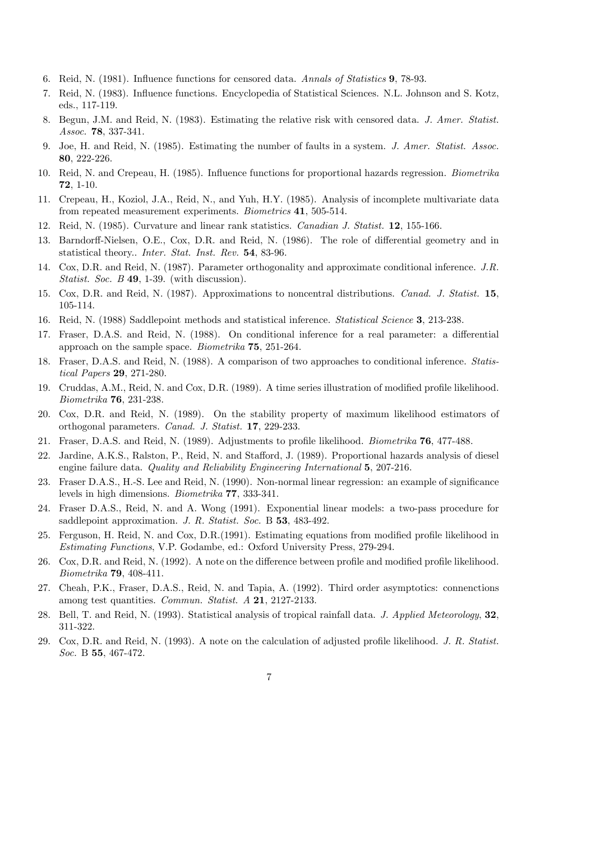- 6. Reid, N. (1981). Influence functions for censored data. *Annals of Statistics* 9, 78-93.
- 7. Reid, N. (1983). Influence functions. Encyclopedia of Statistical Sciences. N.L. Johnson and S. Kotz, eds., 117-119.
- 8. Begun, J.M. and Reid, N. (1983). Estimating the relative risk with censored data. *J. Amer. Statist. Assoc.* 78, 337-341.
- 9. Joe, H. and Reid, N. (1985). Estimating the number of faults in a system. *J. Amer. Statist. Assoc.* 80, 222-226.
- 10. Reid, N. and Crepeau, H. (1985). Influence functions for proportional hazards regression. *Biometrika* 72, 1-10.
- 11. Crepeau, H., Koziol, J.A., Reid, N., and Yuh, H.Y. (1985). Analysis of incomplete multivariate data from repeated measurement experiments. *Biometrics* 41, 505-514.
- 12. Reid, N. (1985). Curvature and linear rank statistics. *Canadian J. Statist.* 12, 155-166.
- 13. Barndorff-Nielsen, O.E., Cox, D.R. and Reid, N. (1986). The role of differential geometry and in statistical theory.. *Inter. Stat. Inst. Rev.* 54, 83-96.
- 14. Cox, D.R. and Reid, N. (1987). Parameter orthogonality and approximate conditional inference. *J.R. Statist. Soc. B* 49, 1-39. (with discussion).
- 15. Cox, D.R. and Reid, N. (1987). Approximations to noncentral distributions. *Canad. J. Statist.* 15, 105-114.
- 16. Reid, N. (1988) Saddlepoint methods and statistical inference. *Statistical Science* 3, 213-238.
- 17. Fraser, D.A.S. and Reid, N. (1988). On conditional inference for a real parameter: a differential approach on the sample space. *Biometrika* 75, 251-264.
- 18. Fraser, D.A.S. and Reid, N. (1988). A comparison of two approaches to conditional inference. *Statistical Papers* 29, 271-280.
- 19. Cruddas, A.M., Reid, N. and Cox, D.R. (1989). A time series illustration of modified profile likelihood. *Biometrika* 76, 231-238.
- 20. Cox, D.R. and Reid, N. (1989). On the stability property of maximum likelihood estimators of orthogonal parameters. *Canad. J. Statist.* 17, 229-233.
- 21. Fraser, D.A.S. and Reid, N. (1989). Adjustments to profile likelihood. *Biometrika* 76, 477-488.
- 22. Jardine, A.K.S., Ralston, P., Reid, N. and Stafford, J. (1989). Proportional hazards analysis of diesel engine failure data. *Quality and Reliability Engineering International* 5, 207-216.
- 23. Fraser D.A.S., H.-S. Lee and Reid, N. (1990). Non-normal linear regression: an example of significance levels in high dimensions. *Biometrika* 77, 333-341.
- 24. Fraser D.A.S., Reid, N. and A. Wong (1991). Exponential linear models: a two-pass procedure for saddlepoint approximation. *J. R. Statist. Soc.* B 53, 483-492.
- 25. Ferguson, H. Reid, N. and Cox, D.R.(1991). Estimating equations from modified profile likelihood in *Estimating Functions*, V.P. Godambe, ed.: Oxford University Press, 279-294.
- 26. Cox, D.R. and Reid, N. (1992). A note on the difference between profile and modified profile likelihood. *Biometrika* 79, 408-411.
- 27. Cheah, P.K., Fraser, D.A.S., Reid, N. and Tapia, A. (1992). Third order asymptotics: connenctions among test quantities. *Commun. Statist. A* 21, 2127-2133.
- 28. Bell, T. and Reid, N. (1993). Statistical analysis of tropical rainfall data. *J. Applied Meteorology*, 32, 311-322.
- 29. Cox, D.R. and Reid, N. (1993). A note on the calculation of adjusted profile likelihood. *J. R. Statist. Soc.* B 55, 467-472.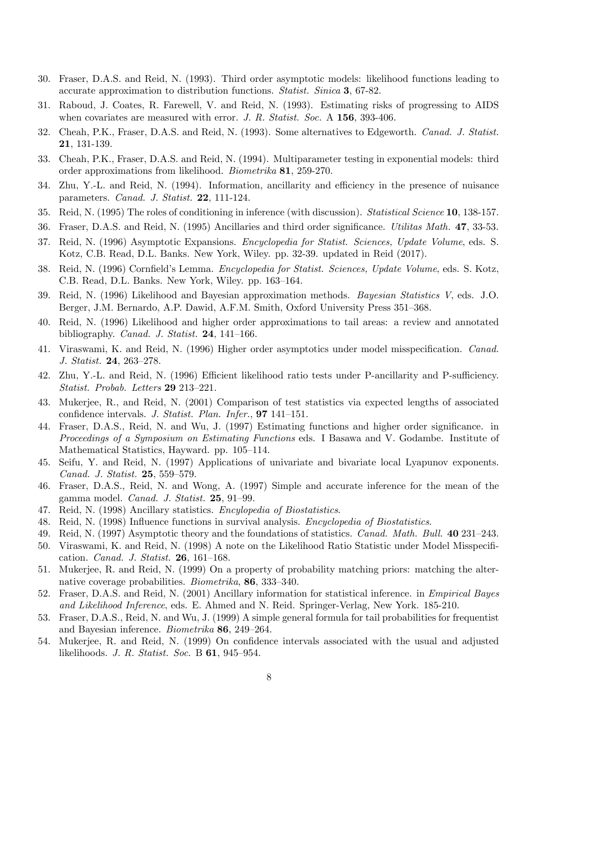- 30. Fraser, D.A.S. and Reid, N. (1993). Third order asymptotic models: likelihood functions leading to accurate approximation to distribution functions. *Statist. Sinica* 3, 67-82.
- 31. Raboud, J. Coates, R. Farewell, V. and Reid, N. (1993). Estimating risks of progressing to AIDS when covariates are measured with error. *J. R. Statist. Soc.* A 156, 393-406.
- 32. Cheah, P.K., Fraser, D.A.S. and Reid, N. (1993). Some alternatives to Edgeworth. *Canad. J. Statist.* 21, 131-139.
- 33. Cheah, P.K., Fraser, D.A.S. and Reid, N. (1994). Multiparameter testing in exponential models: third order approximations from likelihood. *Biometrika* 81, 259-270.
- 34. Zhu, Y.-L. and Reid, N. (1994). Information, ancillarity and efficiency in the presence of nuisance parameters. *Canad. J. Statist.* 22, 111-124.
- 35. Reid, N. (1995) The roles of conditioning in inference (with discussion). *Statistical Science* 10, 138-157.
- 36. Fraser, D.A.S. and Reid, N. (1995) Ancillaries and third order significance. *Utilitas Math.* 47, 33-53.
- 37. Reid, N. (1996) Asymptotic Expansions. *Encyclopedia for Statist. Sciences, Update Volume*, eds. S. Kotz, C.B. Read, D.L. Banks. New York, Wiley. pp. 32-39. updated in Reid (2017).
- 38. Reid, N. (1996) Cornfield's Lemma. *Encyclopedia for Statist. Sciences, Update Volume*, eds. S. Kotz, C.B. Read, D.L. Banks. New York, Wiley. pp. 163–164.
- 39. Reid, N. (1996) Likelihood and Bayesian approximation methods. *Bayesian Statistics V*, eds. J.O. Berger, J.M. Bernardo, A.P. Dawid, A.F.M. Smith, Oxford University Press 351–368.
- 40. Reid, N. (1996) Likelihood and higher order approximations to tail areas: a review and annotated bibliography. *Canad. J. Statist.* 24, 141–166.
- 41. Viraswami, K. and Reid, N. (1996) Higher order asymptotics under model misspecification. *Canad. J. Statist.* 24, 263–278.
- 42. Zhu, Y.-L. and Reid, N. (1996) Efficient likelihood ratio tests under P-ancillarity and P-sufficiency. *Statist. Probab. Letters* 29 213–221.
- 43. Mukerjee, R., and Reid, N. (2001) Comparison of test statistics via expected lengths of associated confidence intervals. *J. Statist. Plan. Infer.*, 97 141–151.
- 44. Fraser, D.A.S., Reid, N. and Wu, J. (1997) Estimating functions and higher order significance. in *Proceedings of a Symposium on Estimating Functions* eds. I Basawa and V. Godambe. Institute of Mathematical Statistics, Hayward. pp. 105–114.
- 45. Seifu, Y. and Reid, N. (1997) Applications of univariate and bivariate local Lyapunov exponents. *Canad. J. Statist.* 25, 559–579.
- 46. Fraser, D.A.S., Reid, N. and Wong, A. (1997) Simple and accurate inference for the mean of the gamma model. *Canad. J. Statist.* 25, 91–99.
- 47. Reid, N. (1998) Ancillary statistics. *Encylopedia of Biostatistics*.
- 48. Reid, N. (1998) Influence functions in survival analysis. *Encyclopedia of Biostatistics*.
- 49. Reid, N. (1997) Asymptotic theory and the foundations of statistics. *Canad. Math. Bull.* 40 231–243.
- 50. Viraswami, K. and Reid, N. (1998) A note on the Likelihood Ratio Statistic under Model Misspecification. *Canad. J. Statist.* 26, 161–168.
- 51. Mukerjee, R. and Reid, N. (1999) On a property of probability matching priors: matching the alternative coverage probabilities. *Biometrika*, 86, 333–340.
- 52. Fraser, D.A.S. and Reid, N. (2001) Ancillary information for statistical inference. in *Empirical Bayes and Likelihood Inference*, eds. E. Ahmed and N. Reid. Springer-Verlag, New York. 185-210.
- 53. Fraser, D.A.S., Reid, N. and Wu, J. (1999) A simple general formula for tail probabilities for frequentist and Bayesian inference. *Biometrika* 86, 249–264.
- 54. Mukerjee, R. and Reid, N. (1999) On confidence intervals associated with the usual and adjusted likelihoods. *J. R. Statist. Soc.* B 61, 945–954.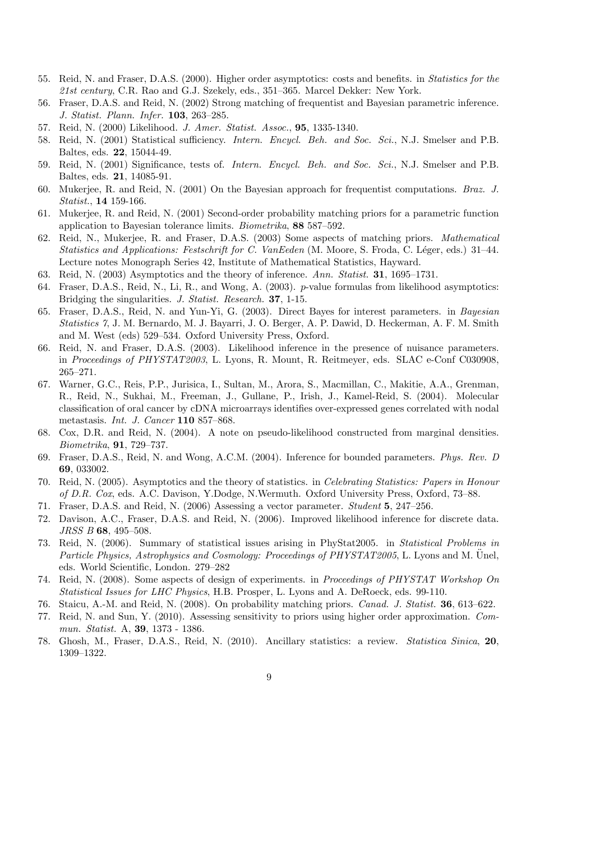- 55. Reid, N. and Fraser, D.A.S. (2000). Higher order asymptotics: costs and benefits. in *Statistics for the 21st century*, C.R. Rao and G.J. Szekely, eds., 351–365. Marcel Dekker: New York.
- 56. Fraser, D.A.S. and Reid, N. (2002) Strong matching of frequentist and Bayesian parametric inference. *J. Statist. Plann. Infer.* 103, 263–285.
- 57. Reid, N. (2000) Likelihood. *J. Amer. Statist. Assoc.*, 95, 1335-1340.
- 58. Reid, N. (2001) Statistical sufficiency. *Intern. Encycl. Beh. and Soc. Sci.*, N.J. Smelser and P.B. Baltes, eds. 22, 15044-49.
- 59. Reid, N. (2001) Significance, tests of. *Intern. Encycl. Beh. and Soc. Sci.*, N.J. Smelser and P.B. Baltes, eds. 21, 14085-91.
- 60. Mukerjee, R. and Reid, N. (2001) On the Bayesian approach for frequentist computations. *Braz. J. Statist.*, 14 159-166.
- 61. Mukerjee, R. and Reid, N. (2001) Second-order probability matching priors for a parametric function application to Bayesian tolerance limits. *Biometrika*, 88 587–592.
- 62. Reid, N., Mukerjee, R. and Fraser, D.A.S. (2003) Some aspects of matching priors. *Mathematical Statistics and Applications: Festschrift for C. VanEeden* (M. Moore, S. Froda, C. L´eger, eds.) 31–44. Lecture notes Monograph Series 42, Institute of Mathematical Statistics, Hayward.
- 63. Reid, N. (2003) Asymptotics and the theory of inference. *Ann. Statist.* 31, 1695–1731.
- 64. Fraser, D.A.S., Reid, N., Li, R., and Wong, A. (2003). *p*-value formulas from likelihood asymptotics: Bridging the singularities. *J. Statist. Research.* 37, 1-15.
- 65. Fraser, D.A.S., Reid, N. and Yun-Yi, G. (2003). Direct Bayes for interest parameters. in *Bayesian Statistics 7*, J. M. Bernardo, M. J. Bayarri, J. O. Berger, A. P. Dawid, D. Heckerman, A. F. M. Smith and M. West (eds) 529–534. Oxford University Press, Oxford.
- 66. Reid, N. and Fraser, D.A.S. (2003). Likelihood inference in the presence of nuisance parameters. in *Proceedings of PHYSTAT2003*, L. Lyons, R. Mount, R. Reitmeyer, eds. SLAC e-Conf C030908, 265–271.
- 67. Warner, G.C., Reis, P.P., Jurisica, I., Sultan, M., Arora, S., Macmillan, C., Makitie, A.A., Grenman, R., Reid, N., Sukhai, M., Freeman, J., Gullane, P., Irish, J., Kamel-Reid, S. (2004). Molecular classification of oral cancer by cDNA microarrays identifies over-expressed genes correlated with nodal metastasis. *Int. J. Cancer* 110 857–868.
- 68. Cox, D.R. and Reid, N. (2004). A note on pseudo-likelihood constructed from marginal densities. *Biometrika*, 91, 729–737.
- 69. Fraser, D.A.S., Reid, N. and Wong, A.C.M. (2004). Inference for bounded parameters. *Phys. Rev. D* 69, 033002.
- 70. Reid, N. (2005). Asymptotics and the theory of statistics. in *Celebrating Statistics: Papers in Honour of D.R. Cox*, eds. A.C. Davison, Y.Dodge, N.Wermuth. Oxford University Press, Oxford, 73–88.
- 71. Fraser, D.A.S. and Reid, N. (2006) Assessing a vector parameter. *Student* 5, 247–256.
- 72. Davison, A.C., Fraser, D.A.S. and Reid, N. (2006). Improved likelihood inference for discrete data. *JRSS B* 68, 495–508.
- 73. Reid, N. (2006). Summary of statistical issues arising in PhyStat2005. in *Statistical Problems in Particle Physics, Astrophysics and Cosmology: Proceedings of PHYSTAT2005*, L. Lyons and M. Unel, eds. World Scientific, London. 279–282
- 74. Reid, N. (2008). Some aspects of design of experiments. in *Proceedings of PHYSTAT Workshop On Statistical Issues for LHC Physics*, H.B. Prosper, L. Lyons and A. DeRoeck, eds. 99-110.
- 76. Staicu, A.-M. and Reid, N. (2008). On probability matching priors. *Canad. J. Statist.* 36, 613–622.
- 77. Reid, N. and Sun, Y. (2010). Assessing sensitivity to priors using higher order approximation. *Commun. Statist.* A, 39, 1373 - 1386.
- 78. Ghosh, M., Fraser, D.A.S., Reid, N. (2010). Ancillary statistics: a review. *Statistica Sinica*, 20, 1309–1322.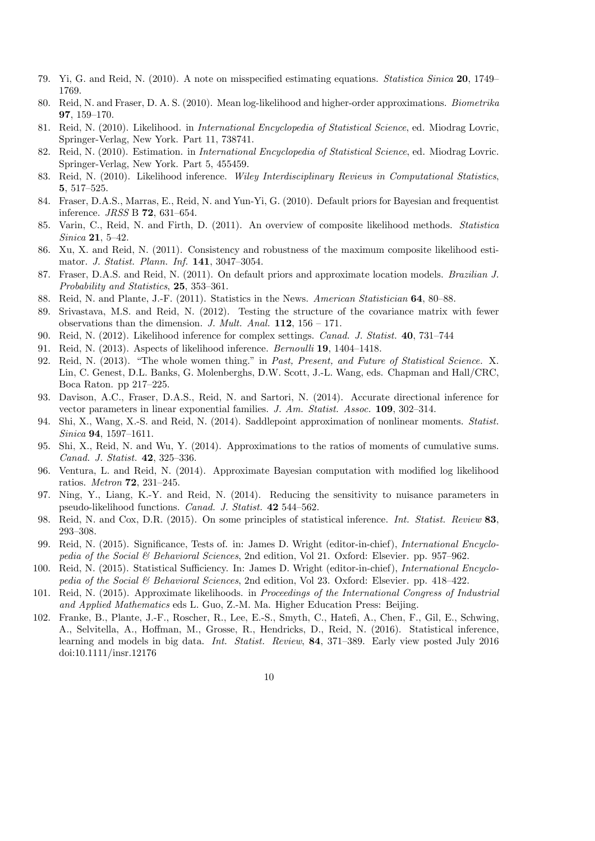- 79. Yi, G. and Reid, N. (2010). A note on misspecified estimating equations. *Statistica Sinica* 20, 1749– 1769.
- 80. Reid, N. and Fraser, D. A. S. (2010). Mean log-likelihood and higher-order approximations. *Biometrika* 97, 159–170.
- 81. Reid, N. (2010). Likelihood. in *International Encyclopedia of Statistical Science*, ed. Miodrag Lovric, Springer-Verlag, New York. Part 11, 738741.
- 82. Reid, N. (2010). Estimation. in *International Encyclopedia of Statistical Science*, ed. Miodrag Lovric. Springer-Verlag, New York. Part 5, 455459.
- 83. Reid, N. (2010). Likelihood inference. *Wiley Interdisciplinary Reviews in Computational Statistics*, 5, 517–525.
- 84. Fraser, D.A.S., Marras, E., Reid, N. and Yun-Yi, G. (2010). Default priors for Bayesian and frequentist inference. *JRSS* B 72, 631–654.
- 85. Varin, C., Reid, N. and Firth, D. (2011). An overview of composite likelihood methods. *Statistica Sinica* 21, 5–42.
- 86. Xu, X. and Reid, N. (2011). Consistency and robustness of the maximum composite likelihood estimator. *J. Statist. Plann. Inf.* 141, 3047–3054.
- 87. Fraser, D.A.S. and Reid, N. (2011). On default priors and approximate location models. *Brazilian J. Probability and Statistics*, 25, 353–361.
- 88. Reid, N. and Plante, J.-F. (2011). Statistics in the News. *American Statistician* 64, 80–88.
- 89. Srivastava, M.S. and Reid, N. (2012). Testing the structure of the covariance matrix with fewer observations than the dimension. *J. Mult. Anal.*  $112$ ,  $156 - 171$ .
- 90. Reid, N. (2012). Likelihood inference for complex settings. *Canad. J. Statist.* 40, 731–744
- 91. Reid, N. (2013). Aspects of likelihood inference. *Bernoulli* 19, 1404–1418.
- 92. Reid, N. (2013). "The whole women thing." in *Past, Present, and Future of Statistical Science.* X. Lin, C. Genest, D.L. Banks, G. Molenberghs, D.W. Scott, J.-L. Wang, eds. Chapman and Hall/CRC, Boca Raton. pp 217–225.
- 93. Davison, A.C., Fraser, D.A.S., Reid, N. and Sartori, N. (2014). Accurate directional inference for vector parameters in linear exponential families. *J. Am. Statist. Assoc.* 109, 302–314.
- 94. Shi, X., Wang, X.-S. and Reid, N. (2014). Saddlepoint approximation of nonlinear moments. *Statist. Sinica* 94, 1597–1611.
- 95. Shi, X., Reid, N. and Wu, Y. (2014). Approximations to the ratios of moments of cumulative sums. *Canad. J. Statist.* 42, 325–336.
- 96. Ventura, L. and Reid, N. (2014). Approximate Bayesian computation with modified log likelihood ratios. *Metron* 72, 231–245.
- 97. Ning, Y., Liang, K.-Y. and Reid, N. (2014). Reducing the sensitivity to nuisance parameters in pseudo-likelihood functions. *Canad. J. Statist.* 42 544–562.
- 98. Reid, N. and Cox, D.R. (2015). On some principles of statistical inference. *Int. Statist. Review* 83, 293–308.
- 99. Reid, N. (2015). Significance, Tests of. in: James D. Wright (editor-in-chief), *International Encyclopedia of the Social & Behavioral Sciences*, 2nd edition, Vol 21. Oxford: Elsevier. pp. 957–962.
- 100. Reid, N. (2015). Statistical Sufficiency. In: James D. Wright (editor-in-chief), *International Encyclopedia of the Social & Behavioral Sciences*, 2nd edition, Vol 23. Oxford: Elsevier. pp. 418–422.
- 101. Reid, N. (2015). Approximate likelihoods. in *Proceedings of the International Congress of Industrial and Applied Mathematics* eds L. Guo, Z.-M. Ma. Higher Education Press: Beijing.
- 102. Franke, B., Plante, J.-F., Roscher, R., Lee, E.-S., Smyth, C., Hatefi, A., Chen, F., Gil, E., Schwing, A., Selvitella, A., Hoffman, M., Grosse, R., Hendricks, D., Reid, N. (2016). Statistical inference, learning and models in big data. *Int. Statist. Review*, 84, 371–389. Early view posted July 2016 doi:10.1111/insr.12176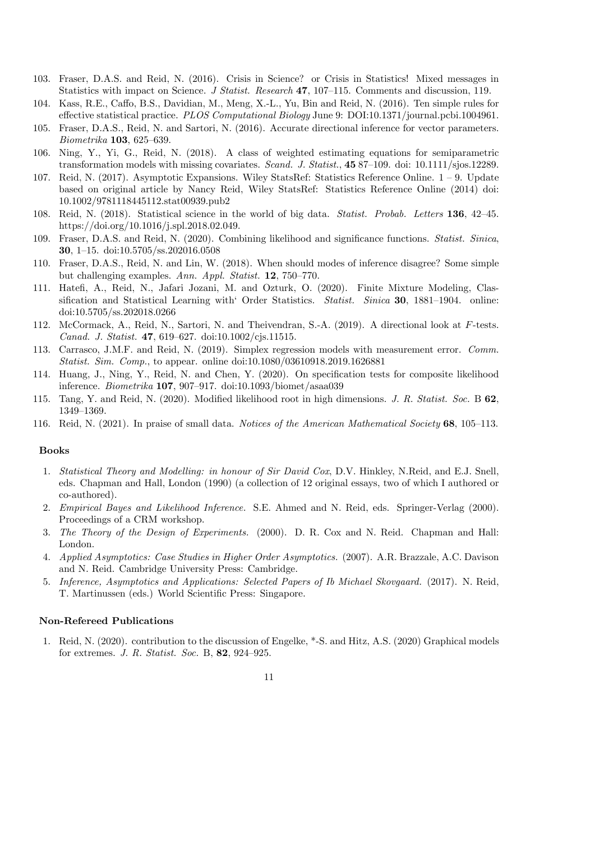- 103. Fraser, D.A.S. and Reid, N. (2016). Crisis in Science? or Crisis in Statistics! Mixed messages in Statistics with impact on Science. *J Statist. Research* 47, 107–115. Comments and discussion, 119.
- 104. Kass, R.E., Caffo, B.S., Davidian, M., Meng, X.-L., Yu, Bin and Reid, N. (2016). Ten simple rules for effective statistical practice. *PLOS Computational Biology* June 9: DOI:10.1371/journal.pcbi.1004961.
- 105. Fraser, D.A.S., Reid, N. and Sartori, N. (2016). Accurate directional inference for vector parameters. *Biometrika* 103, 625–639.
- 106. Ning, Y., Yi, G., Reid, N. (2018). A class of weighted estimating equations for semiparametric transformation models with missing covariates. *Scand. J. Statist.*, 45 87–109. doi: 10.1111/sjos.12289.
- 107. Reid, N. (2017). Asymptotic Expansions. Wiley StatsRef: Statistics Reference Online. 1 9. Update based on original article by Nancy Reid, Wiley StatsRef: Statistics Reference Online (2014) doi: 10.1002/9781118445112.stat00939.pub2
- 108. Reid, N. (2018). Statistical science in the world of big data. *Statist. Probab. Letters* 136, 42–45. https://doi.org/10.1016/j.spl.2018.02.049.
- 109. Fraser, D.A.S. and Reid, N. (2020). Combining likelihood and significance functions. *Statist. Sinica*, 30, 1–15. doi:10.5705/ss.202016.0508
- 110. Fraser, D.A.S., Reid, N. and Lin, W. (2018). When should modes of inference disagree? Some simple but challenging examples. *Ann. Appl. Statist.* 12, 750–770.
- 111. Hatefi, A., Reid, N., Jafari Jozani, M. and Ozturk, O. (2020). Finite Mixture Modeling, Classification and Statistical Learning with' Order Statistics. *Statist. Sinica* 30, 1881–1904. online: doi:10.5705/ss.202018.0266
- 112. McCormack, A., Reid, N., Sartori, N. and Theivendran, S.-A. (2019). A directional look at *F*-tests. *Canad. J. Statist.* 47, 619–627. doi:10.1002/cjs.11515.
- 113. Carrasco, J.M.F. and Reid, N. (2019). Simplex regression models with measurement error. *Comm. Statist. Sim. Comp.*, to appear. online doi:10.1080/03610918.2019.1626881
- 114. Huang, J., Ning, Y., Reid, N. and Chen, Y. (2020). On specification tests for composite likelihood inference. *Biometrika* 107, 907–917. doi:10.1093/biomet/asaa039
- 115. Tang, Y. and Reid, N. (2020). Modified likelihood root in high dimensions. *J. R. Statist. Soc.* B 62, 1349–1369.
- 116. Reid, N. (2021). In praise of small data. *Notices of the American Mathematical Society* 68, 105–113.

#### Books

- 1. *Statistical Theory and Modelling: in honour of Sir David Cox*, D.V. Hinkley, N.Reid, and E.J. Snell, eds. Chapman and Hall, London (1990) (a collection of 12 original essays, two of which I authored or co-authored).
- 2. *Empirical Bayes and Likelihood Inference.* S.E. Ahmed and N. Reid, eds. Springer-Verlag (2000). Proceedings of a CRM workshop.
- 3. *The Theory of the Design of Experiments.* (2000). D. R. Cox and N. Reid. Chapman and Hall: London.
- 4. *Applied Asymptotics: Case Studies in Higher Order Asymptotics.* (2007). A.R. Brazzale, A.C. Davison and N. Reid. Cambridge University Press: Cambridge.
- 5. *Inference, Asymptotics and Applications: Selected Papers of Ib Michael Skovgaard.* (2017). N. Reid, T. Martinussen (eds.) World Scientific Press: Singapore.

#### Non-Refereed Publications

1. Reid, N. (2020). contribution to the discussion of Engelke, \*-S. and Hitz, A.S. (2020) Graphical models for extremes. *J. R. Statist. Soc.* B, 82, 924–925.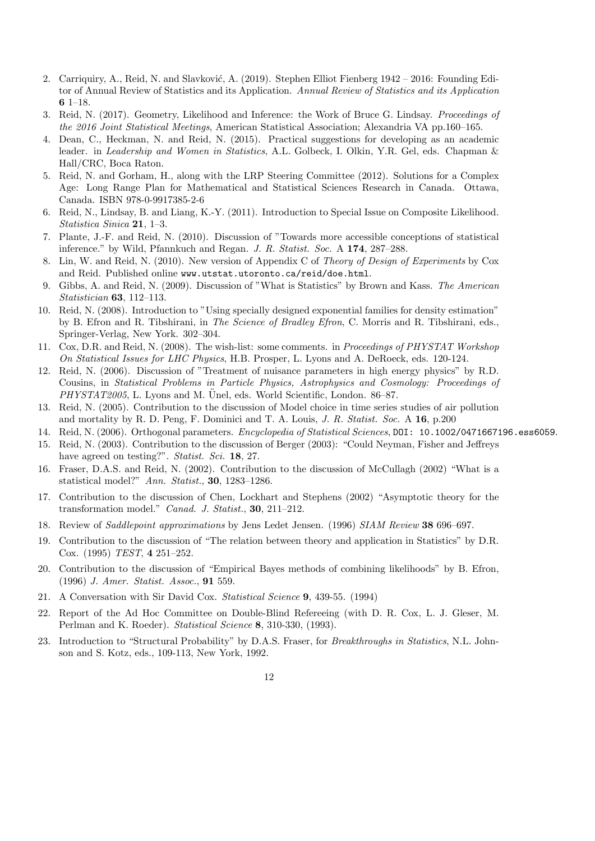- 2. Carriquiry, A., Reid, N. and Slavković, A. (2019). Stephen Elliot Fienberg 1942 2016: Founding Editor of Annual Review of Statistics and its Application. *Annual Review of Statistics and its Application* 6 1–18.
- 3. Reid, N. (2017). Geometry, Likelihood and Inference: the Work of Bruce G. Lindsay. *Proceedings of the 2016 Joint Statistical Meetings*, American Statistical Association; Alexandria VA pp.160–165.
- 4. Dean, C., Heckman, N. and Reid, N. (2015). Practical suggestions for developing as an academic leader. in *Leadership and Women in Statistics*, A.L. Golbeck, I. Olkin, Y.R. Gel, eds. Chapman & Hall/CRC, Boca Raton.
- 5. Reid, N. and Gorham, H., along with the LRP Steering Committee (2012). Solutions for a Complex Age: Long Range Plan for Mathematical and Statistical Sciences Research in Canada. Ottawa, Canada. ISBN 978-0-9917385-2-6
- 6. Reid, N., Lindsay, B. and Liang, K.-Y. (2011). Introduction to Special Issue on Composite Likelihood. *Statistica Sinica* 21, 1–3.
- 7. Plante, J.-F. and Reid, N. (2010). Discussion of "Towards more accessible conceptions of statistical inference." by Wild, Pfannkuch and Regan. *J. R. Statist. Soc.* A 174, 287–288.
- 8. Lin, W. and Reid, N. (2010). New version of Appendix C of *Theory of Design of Experiments* by Cox and Reid. Published online www.utstat.utoronto.ca/reid/doe.html.
- 9. Gibbs, A. and Reid, N. (2009). Discussion of "What is Statistics" by Brown and Kass. *The American Statistician* 63, 112–113.
- 10. Reid, N. (2008). Introduction to "Using specially designed exponential families for density estimation" by B. Efron and R. Tibshirani, in *The Science of Bradley Efron*, C. Morris and R. Tibshirani, eds., Springer-Verlag, New York. 302–304.
- 11. Cox, D.R. and Reid, N. (2008). The wish-list: some comments. in *Proceedings of PHYSTAT Workshop On Statistical Issues for LHC Physics*, H.B. Prosper, L. Lyons and A. DeRoeck, eds. 120-124.
- 12. Reid, N. (2006). Discussion of "Treatment of nuisance parameters in high energy physics" by R.D. Cousins, in *Statistical Problems in Particle Physics, Astrophysics and Cosmology: Proceedings of PHYSTAT2005*, L. Lyons and M. Unel, eds. World Scientific, London. 86–87.
- 13. Reid, N. (2005). Contribution to the discussion of Model choice in time series studies of air pollution and mortality by R. D. Peng, F. Dominici and T. A. Louis, *J. R. Statist. Soc.* A 16, p.200
- 14. Reid, N. (2006). Orthogonal parameters. *Encyclopedia of Statistical Sciences*, DOI: 10.1002/0471667196.ess6059.
- 15. Reid, N. (2003). Contribution to the discussion of Berger (2003): "Could Neyman, Fisher and Jeffreys have agreed on testing?". *Statist. Sci.* 18, 27.
- 16. Fraser, D.A.S. and Reid, N. (2002). Contribution to the discussion of McCullagh (2002) "What is a statistical model?" *Ann. Statist.*, 30, 1283–1286.
- 17. Contribution to the discussion of Chen, Lockhart and Stephens (2002) "Asymptotic theory for the transformation model." *Canad. J. Statist.*, 30, 211–212.
- 18. Review of *Saddlepoint approximations* by Jens Ledet Jensen. (1996) *SIAM Review* 38 696–697.
- 19. Contribution to the discussion of "The relation between theory and application in Statistics" by D.R. Cox. (1995) *TEST*, 4 251–252.
- 20. Contribution to the discussion of "Empirical Bayes methods of combining likelihoods" by B. Efron, (1996) *J. Amer. Statist. Assoc.*, 91 559.
- 21. A Conversation with Sir David Cox. *Statistical Science* 9, 439-55. (1994)
- 22. Report of the Ad Hoc Committee on Double-Blind Refereeing (with D. R. Cox, L. J. Gleser, M. Perlman and K. Roeder). *Statistical Science* 8, 310-330, (1993).
- 23. Introduction to "Structural Probability" by D.A.S. Fraser, for *Breakthroughs in Statistics*, N.L. Johnson and S. Kotz, eds., 109-113, New York, 1992.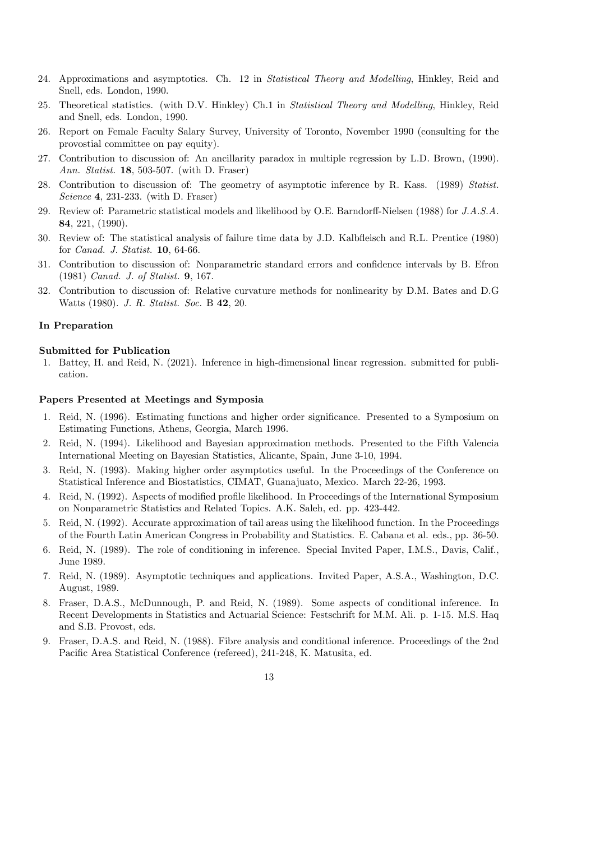- 24. Approximations and asymptotics. Ch. 12 in *Statistical Theory and Modelling*, Hinkley, Reid and Snell, eds. London, 1990.
- 25. Theoretical statistics. (with D.V. Hinkley) Ch.1 in *Statistical Theory and Modelling*, Hinkley, Reid and Snell, eds. London, 1990.
- 26. Report on Female Faculty Salary Survey, University of Toronto, November 1990 (consulting for the provostial committee on pay equity).
- 27. Contribution to discussion of: An ancillarity paradox in multiple regression by L.D. Brown, (1990). *Ann. Statist.* 18, 503-507. (with D. Fraser)
- 28. Contribution to discussion of: The geometry of asymptotic inference by R. Kass. (1989) *Statist. Science* 4, 231-233. (with D. Fraser)
- 29. Review of: Parametric statistical models and likelihood by O.E. Barndorff-Nielsen (1988) for *J.A.S.A.* 84, 221, (1990).
- 30. Review of: The statistical analysis of failure time data by J.D. Kalbfleisch and R.L. Prentice (1980) for *Canad. J. Statist.* 10, 64-66.
- 31. Contribution to discussion of: Nonparametric standard errors and confidence intervals by B. Efron (1981) *Canad. J. of Statist.* 9, 167.
- 32. Contribution to discussion of: Relative curvature methods for nonlinearity by D.M. Bates and D.G Watts (1980). *J. R. Statist. Soc.* B 42, 20.

#### In Preparation

#### Submitted for Publication

1. Battey, H. and Reid, N. (2021). Inference in high-dimensional linear regression. submitted for publication.

#### Papers Presented at Meetings and Symposia

- 1. Reid, N. (1996). Estimating functions and higher order significance. Presented to a Symposium on Estimating Functions, Athens, Georgia, March 1996.
- 2. Reid, N. (1994). Likelihood and Bayesian approximation methods. Presented to the Fifth Valencia International Meeting on Bayesian Statistics, Alicante, Spain, June 3-10, 1994.
- 3. Reid, N. (1993). Making higher order asymptotics useful. In the Proceedings of the Conference on Statistical Inference and Biostatistics, CIMAT, Guanajuato, Mexico. March 22-26, 1993.
- 4. Reid, N. (1992). Aspects of modified profile likelihood. In Proceedings of the International Symposium on Nonparametric Statistics and Related Topics. A.K. Saleh, ed. pp. 423-442.
- 5. Reid, N. (1992). Accurate approximation of tail areas using the likelihood function. In the Proceedings of the Fourth Latin American Congress in Probability and Statistics. E. Cabana et al. eds., pp. 36-50.
- 6. Reid, N. (1989). The role of conditioning in inference. Special Invited Paper, I.M.S., Davis, Calif., June 1989.
- 7. Reid, N. (1989). Asymptotic techniques and applications. Invited Paper, A.S.A., Washington, D.C. August, 1989.
- 8. Fraser, D.A.S., McDunnough, P. and Reid, N. (1989). Some aspects of conditional inference. In Recent Developments in Statistics and Actuarial Science: Festschrift for M.M. Ali. p. 1-15. M.S. Haq and S.B. Provost, eds.
- 9. Fraser, D.A.S. and Reid, N. (1988). Fibre analysis and conditional inference. Proceedings of the 2nd Pacific Area Statistical Conference (refereed), 241-248, K. Matusita, ed.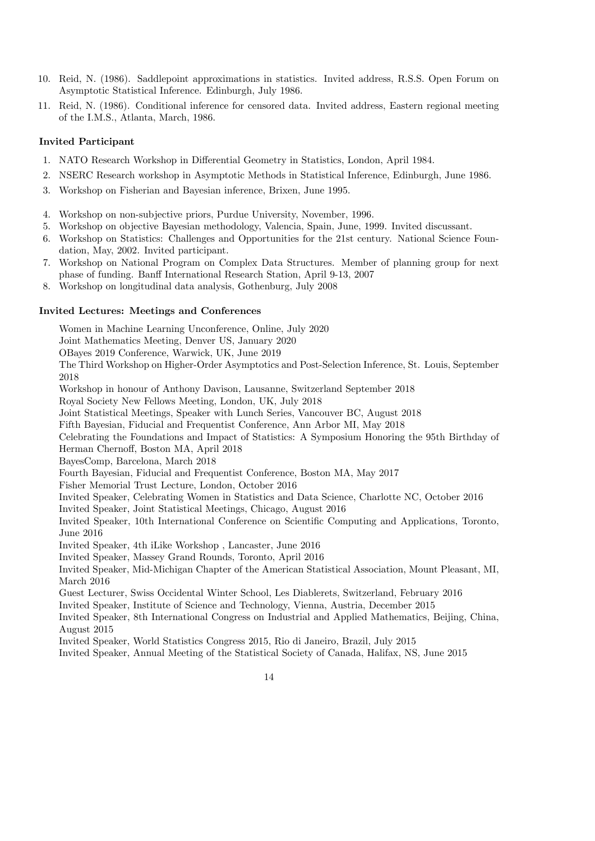- 10. Reid, N. (1986). Saddlepoint approximations in statistics. Invited address, R.S.S. Open Forum on Asymptotic Statistical Inference. Edinburgh, July 1986.
- 11. Reid, N. (1986). Conditional inference for censored data. Invited address, Eastern regional meeting of the I.M.S., Atlanta, March, 1986.

#### Invited Participant

- 1. NATO Research Workshop in Differential Geometry in Statistics, London, April 1984.
- 2. NSERC Research workshop in Asymptotic Methods in Statistical Inference, Edinburgh, June 1986.
- 3. Workshop on Fisherian and Bayesian inference, Brixen, June 1995.
- 4. Workshop on non-subjective priors, Purdue University, November, 1996.
- 5. Workshop on objective Bayesian methodology, Valencia, Spain, June, 1999. Invited discussant.
- 6. Workshop on Statistics: Challenges and Opportunities for the 21st century. National Science Foundation, May, 2002. Invited participant.
- 7. Workshop on National Program on Complex Data Structures. Member of planning group for next phase of funding. Banff International Research Station, April 9-13, 2007
- 8. Workshop on longitudinal data analysis, Gothenburg, July 2008

#### Invited Lectures: Meetings and Conferences

Women in Machine Learning Unconference, Online, July 2020 Joint Mathematics Meeting, Denver US, January 2020 OBayes 2019 Conference, Warwick, UK, June 2019 The Third Workshop on Higher-Order Asymptotics and Post-Selection Inference, St. Louis, September 2018 Workshop in honour of Anthony Davison, Lausanne, Switzerland September 2018 Royal Society New Fellows Meeting, London, UK, July 2018 Joint Statistical Meetings, Speaker with Lunch Series, Vancouver BC, August 2018 Fifth Bayesian, Fiducial and Frequentist Conference, Ann Arbor MI, May 2018 Celebrating the Foundations and Impact of Statistics: A Symposium Honoring the 95th Birthday of Herman Chernoff, Boston MA, April 2018 BayesComp, Barcelona, March 2018 Fourth Bayesian, Fiducial and Frequentist Conference, Boston MA, May 2017 Fisher Memorial Trust Lecture, London, October 2016 Invited Speaker, Celebrating Women in Statistics and Data Science, Charlotte NC, October 2016 Invited Speaker, Joint Statistical Meetings, Chicago, August 2016 Invited Speaker, 10th International Conference on Scientific Computing and Applications, Toronto, June 2016 Invited Speaker, 4th iLike Workshop , Lancaster, June 2016 Invited Speaker, Massey Grand Rounds, Toronto, April 2016 Invited Speaker, Mid-Michigan Chapter of the American Statistical Association, Mount Pleasant, MI, March 2016 Guest Lecturer, Swiss Occidental Winter School, Les Diablerets, Switzerland, February 2016 Invited Speaker, Institute of Science and Technology, Vienna, Austria, December 2015 Invited Speaker, 8th International Congress on Industrial and Applied Mathematics, Beijing, China, August 2015 Invited Speaker, World Statistics Congress 2015, Rio di Janeiro, Brazil, July 2015

- Invited Speaker, Annual Meeting of the Statistical Society of Canada, Halifax, NS, June 2015
	- 14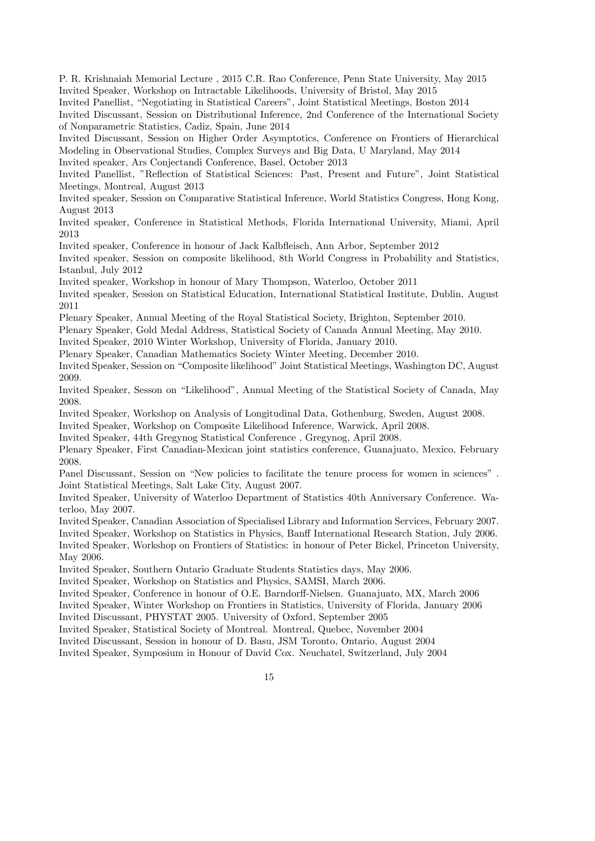P. R. Krishnaiah Memorial Lecture , 2015 C.R. Rao Conference, Penn State University, May 2015 Invited Speaker, Workshop on Intractable Likelihoods, University of Bristol, May 2015

Invited Panellist, "Negotiating in Statistical Careers", Joint Statistical Meetings, Boston 2014

Invited Discussant, Session on Distributional Inference, 2nd Conference of the International Society of Nonparametric Statistics, Cadiz, Spain, June 2014

Invited Discussant, Session on Higher Order Asymptotics, Conference on Frontiers of Hierarchical Modeling in Observational Studies, Complex Surveys and Big Data, U Maryland, May 2014 Invited speaker, Ars Conjectandi Conference, Basel, October 2013

Invited Panellist, "Reflection of Statistical Sciences: Past, Present and Future", Joint Statistical Meetings, Montreal, August 2013

Invited speaker, Session on Comparative Statistical Inference, World Statistics Congress, Hong Kong, August 2013

Invited speaker, Conference in Statistical Methods, Florida International University, Miami, April 2013

Invited speaker, Conference in honour of Jack Kalbfleisch, Ann Arbor, September 2012

Invited speaker, Session on composite likelihood, 8th World Congress in Probability and Statistics, Istanbul, July 2012

Invited speaker, Workshop in honour of Mary Thompson, Waterloo, October 2011

Invited speaker, Session on Statistical Education, International Statistical Institute, Dublin, August 2011

Plenary Speaker, Annual Meeting of the Royal Statistical Society, Brighton, September 2010.

Plenary Speaker, Gold Medal Address, Statistical Society of Canada Annual Meeting, May 2010.

Invited Speaker, 2010 Winter Workshop, University of Florida, January 2010.

Plenary Speaker, Canadian Mathematics Society Winter Meeting, December 2010.

Invited Speaker, Session on "Composite likelihood" Joint Statistical Meetings, Washington DC, August 2009.

Invited Speaker, Sesson on "Likelihood", Annual Meeting of the Statistical Society of Canada, May 2008.

Invited Speaker, Workshop on Analysis of Longitudinal Data, Gothenburg, Sweden, August 2008.

Invited Speaker, Workshop on Composite Likelihood Inference, Warwick, April 2008.

Invited Speaker, 44th Gregynog Statistical Conference , Gregynog, April 2008.

Plenary Speaker, First Canadian-Mexican joint statistics conference, Guanajuato, Mexico, February 2008.

Panel Discussant, Session on "New policies to facilitate the tenure process for women in sciences". Joint Statistical Meetings, Salt Lake City, August 2007.

Invited Speaker, University of Waterloo Department of Statistics 40th Anniversary Conference. Waterloo, May 2007.

Invited Speaker, Canadian Association of Specialised Library and Information Services, February 2007.

Invited Speaker, Workshop on Statistics in Physics, Banff International Research Station, July 2006.

Invited Speaker, Workshop on Frontiers of Statistics: in honour of Peter Bickel, Princeton University, May 2006.

Invited Speaker, Southern Ontario Graduate Students Statistics days, May 2006.

Invited Speaker, Workshop on Statistics and Physics, SAMSI, March 2006.

Invited Speaker, Conference in honour of O.E. Barndorff-Nielsen. Guanajuato, MX, March 2006

Invited Speaker, Winter Workshop on Frontiers in Statistics, University of Florida, January 2006

Invited Discussant, PHYSTAT 2005. University of Oxford, September 2005

Invited Speaker, Statistical Society of Montreal. Montreal, Quebec, November 2004

Invited Discussant, Session in honour of D. Basu, JSM Toronto, Ontario, August 2004

Invited Speaker, Symposium in Honour of David Cox. Neuchatel, Switzerland, July 2004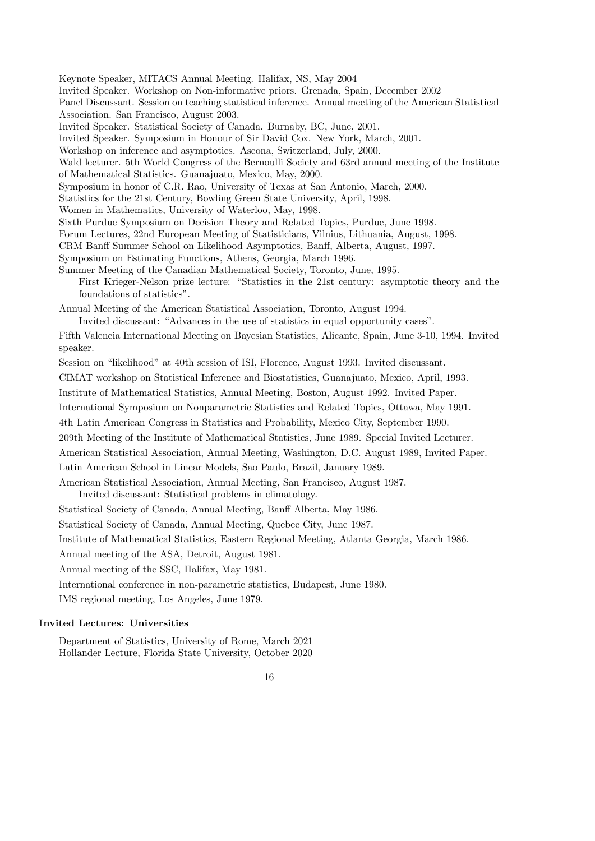Keynote Speaker, MITACS Annual Meeting. Halifax, NS, May 2004 Invited Speaker. Workshop on Non-informative priors. Grenada, Spain, December 2002 Panel Discussant. Session on teaching statistical inference. Annual meeting of the American Statistical Association. San Francisco, August 2003. Invited Speaker. Statistical Society of Canada. Burnaby, BC, June, 2001. Invited Speaker. Symposium in Honour of Sir David Cox. New York, March, 2001. Workshop on inference and asymptotics. Ascona, Switzerland, July, 2000. Wald lecturer. 5th World Congress of the Bernoulli Society and 63rd annual meeting of the Institute of Mathematical Statistics. Guanajuato, Mexico, May, 2000. Symposium in honor of C.R. Rao, University of Texas at San Antonio, March, 2000. Statistics for the 21st Century, Bowling Green State University, April, 1998. Women in Mathematics, University of Waterloo, May, 1998. Sixth Purdue Symposium on Decision Theory and Related Topics, Purdue, June 1998. Forum Lectures, 22nd European Meeting of Statisticians, Vilnius, Lithuania, August, 1998. CRM Banff Summer School on Likelihood Asymptotics, Banff, Alberta, August, 1997. Symposium on Estimating Functions, Athens, Georgia, March 1996. Summer Meeting of the Canadian Mathematical Society, Toronto, June, 1995. First Krieger-Nelson prize lecture: "Statistics in the 21st century: asymptotic theory and the foundations of statistics". Annual Meeting of the American Statistical Association, Toronto, August 1994. Invited discussant: "Advances in the use of statistics in equal opportunity cases". Fifth Valencia International Meeting on Bayesian Statistics, Alicante, Spain, June 3-10, 1994. Invited speaker. Session on "likelihood" at 40th session of ISI, Florence, August 1993. Invited discussant. CIMAT workshop on Statistical Inference and Biostatistics, Guanajuato, Mexico, April, 1993. Institute of Mathematical Statistics, Annual Meeting, Boston, August 1992. Invited Paper. International Symposium on Nonparametric Statistics and Related Topics, Ottawa, May 1991. 4th Latin American Congress in Statistics and Probability, Mexico City, September 1990. 209th Meeting of the Institute of Mathematical Statistics, June 1989. Special Invited Lecturer. American Statistical Association, Annual Meeting, Washington, D.C. August 1989, Invited Paper. Latin American School in Linear Models, Sao Paulo, Brazil, January 1989. American Statistical Association, Annual Meeting, San Francisco, August 1987. Invited discussant: Statistical problems in climatology. Statistical Society of Canada, Annual Meeting, Banff Alberta, May 1986. Statistical Society of Canada, Annual Meeting, Quebec City, June 1987. Institute of Mathematical Statistics, Eastern Regional Meeting, Atlanta Georgia, March 1986. Annual meeting of the ASA, Detroit, August 1981. Annual meeting of the SSC, Halifax, May 1981. International conference in non-parametric statistics, Budapest, June 1980. IMS regional meeting, Los Angeles, June 1979. Invited Lectures: Universities Department of Statistics, University of Rome, March 2021 Hollander Lecture, Florida State University, October 2020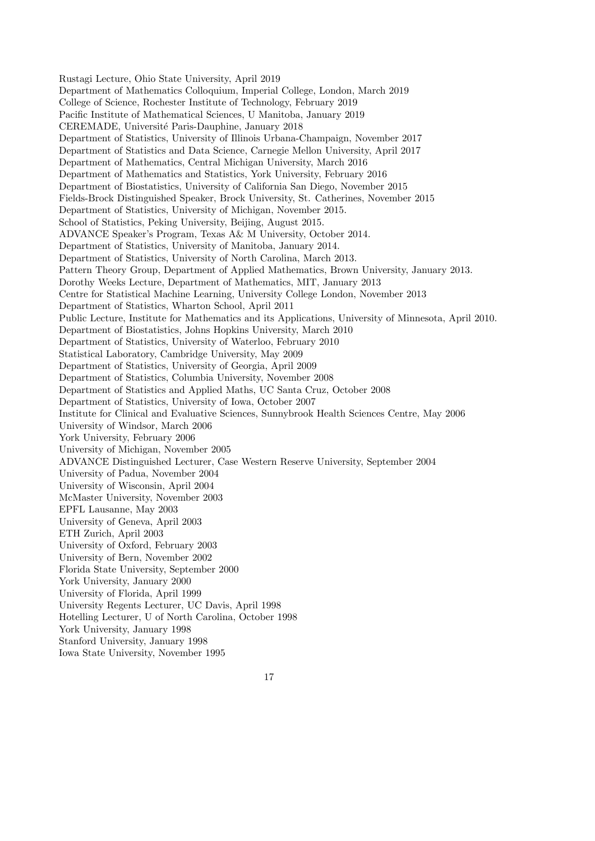Rustagi Lecture, Ohio State University, April 2019 Department of Mathematics Colloquium, Imperial College, London, March 2019 College of Science, Rochester Institute of Technology, February 2019 Pacific Institute of Mathematical Sciences, U Manitoba, January 2019 CEREMADE, Université Paris-Dauphine, January 2018 Department of Statistics, University of Illinois Urbana-Champaign, November 2017 Department of Statistics and Data Science, Carnegie Mellon University, April 2017 Department of Mathematics, Central Michigan University, March 2016 Department of Mathematics and Statistics, York University, February 2016 Department of Biostatistics, University of California San Diego, November 2015 Fields-Brock Distinguished Speaker, Brock University, St. Catherines, November 2015 Department of Statistics, University of Michigan, November 2015. School of Statistics, Peking University, Beijing, August 2015. ADVANCE Speaker's Program, Texas A& M University, October 2014. Department of Statistics, University of Manitoba, January 2014. Department of Statistics, University of North Carolina, March 2013. Pattern Theory Group, Department of Applied Mathematics, Brown University, January 2013. Dorothy Weeks Lecture, Department of Mathematics, MIT, January 2013 Centre for Statistical Machine Learning, University College London, November 2013 Department of Statistics, Wharton School, April 2011 Public Lecture, Institute for Mathematics and its Applications, University of Minnesota, April 2010. Department of Biostatistics, Johns Hopkins University, March 2010 Department of Statistics, University of Waterloo, February 2010 Statistical Laboratory, Cambridge University, May 2009 Department of Statistics, University of Georgia, April 2009 Department of Statistics, Columbia University, November 2008 Department of Statistics and Applied Maths, UC Santa Cruz, October 2008 Department of Statistics, University of Iowa, October 2007 Institute for Clinical and Evaluative Sciences, Sunnybrook Health Sciences Centre, May 2006 University of Windsor, March 2006 York University, February 2006 University of Michigan, November 2005 ADVANCE Distinguished Lecturer, Case Western Reserve University, September 2004 University of Padua, November 2004 University of Wisconsin, April 2004 McMaster University, November 2003 EPFL Lausanne, May 2003 University of Geneva, April 2003 ETH Zurich, April 2003 University of Oxford, February 2003 University of Bern, November 2002 Florida State University, September 2000 York University, January 2000 University of Florida, April 1999 University Regents Lecturer, UC Davis, April 1998 Hotelling Lecturer, U of North Carolina, October 1998 York University, January 1998 Stanford University, January 1998 Iowa State University, November 1995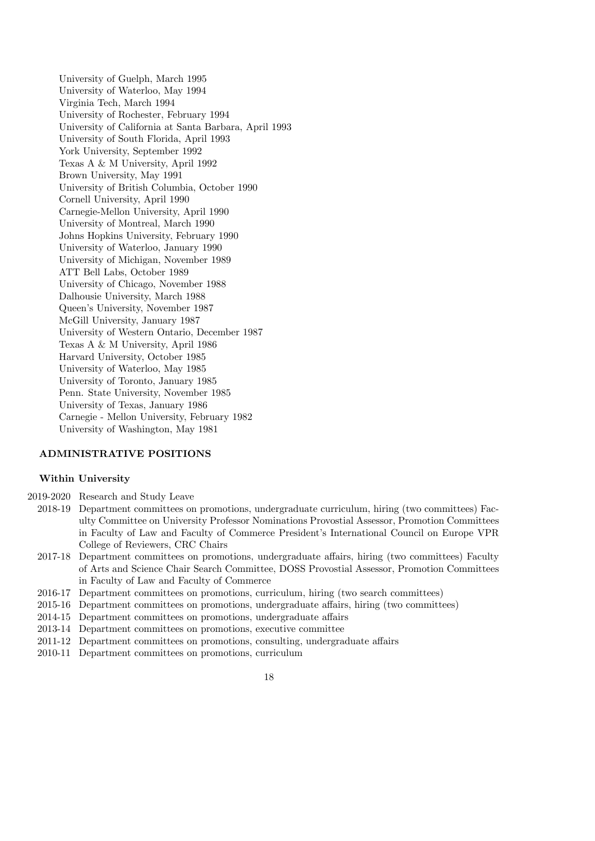University of Guelph, March 1995 University of Waterloo, May 1994 Virginia Tech, March 1994 University of Rochester, February 1994 University of California at Santa Barbara, April 1993 University of South Florida, April 1993 York University, September 1992 Texas A & M University, April 1992 Brown University, May 1991 University of British Columbia, October 1990 Cornell University, April 1990 Carnegie-Mellon University, April 1990 University of Montreal, March 1990 Johns Hopkins University, February 1990 University of Waterloo, January 1990 University of Michigan, November 1989 ATT Bell Labs, October 1989 University of Chicago, November 1988 Dalhousie University, March 1988 Queen's University, November 1987 McGill University, January 1987 University of Western Ontario, December 1987 Texas A & M University, April 1986 Harvard University, October 1985 University of Waterloo, May 1985 University of Toronto, January 1985 Penn. State University, November 1985 University of Texas, January 1986 Carnegie - Mellon University, February 1982 University of Washington, May 1981

## ADMINISTRATIVE POSITIONS

#### Within University

- 2019-2020 Research and Study Leave
	- 2018-19 Department committees on promotions, undergraduate curriculum, hiring (two committees) Faculty Committee on University Professor Nominations Provostial Assessor, Promotion Committees in Faculty of Law and Faculty of Commerce President's International Council on Europe VPR College of Reviewers, CRC Chairs
	- 2017-18 Department committees on promotions, undergraduate affairs, hiring (two committees) Faculty of Arts and Science Chair Search Committee, DOSS Provostial Assessor, Promotion Committees in Faculty of Law and Faculty of Commerce
	- 2016-17 Department committees on promotions, curriculum, hiring (two search committees)
	- 2015-16 Department committees on promotions, undergraduate affairs, hiring (two committees)
	- 2014-15 Department committees on promotions, undergraduate affairs
	- 2013-14 Department committees on promotions, executive committee
	- 2011-12 Department committees on promotions, consulting, undergraduate affairs
	- 2010-11 Department committees on promotions, curriculum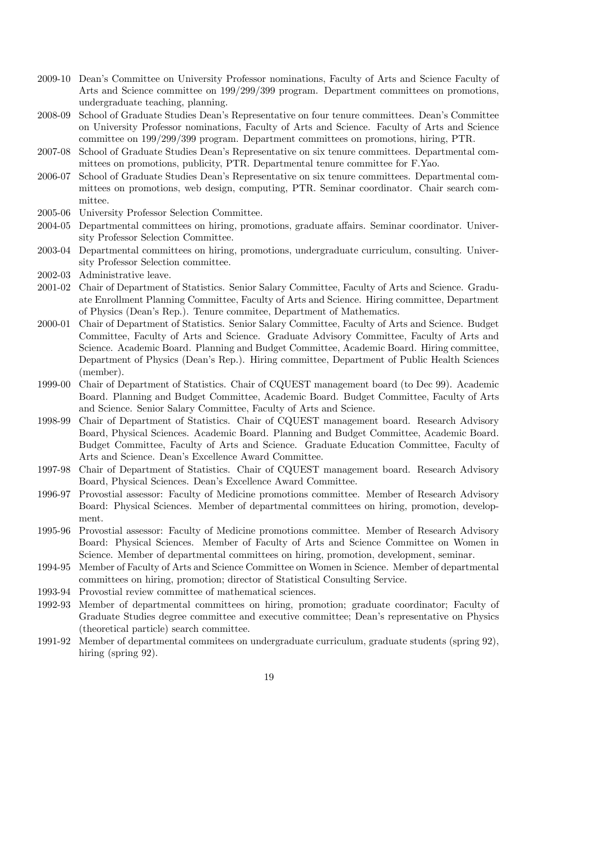- 2009-10 Dean's Committee on University Professor nominations, Faculty of Arts and Science Faculty of Arts and Science committee on 199/299/399 program. Department committees on promotions, undergraduate teaching, planning.
- 2008-09 School of Graduate Studies Dean's Representative on four tenure committees. Dean's Committee on University Professor nominations, Faculty of Arts and Science. Faculty of Arts and Science committee on 199/299/399 program. Department committees on promotions, hiring, PTR.
- 2007-08 School of Graduate Studies Dean's Representative on six tenure committees. Departmental committees on promotions, publicity, PTR. Departmental tenure committee for F.Yao.
- 2006-07 School of Graduate Studies Dean's Representative on six tenure committees. Departmental committees on promotions, web design, computing, PTR. Seminar coordinator. Chair search committee.
- 2005-06 University Professor Selection Committee.
- 2004-05 Departmental committees on hiring, promotions, graduate affairs. Seminar coordinator. University Professor Selection Committee.
- 2003-04 Departmental committees on hiring, promotions, undergraduate curriculum, consulting. University Professor Selection committee.
- 2002-03 Administrative leave.
- 2001-02 Chair of Department of Statistics. Senior Salary Committee, Faculty of Arts and Science. Graduate Enrollment Planning Committee, Faculty of Arts and Science. Hiring committee, Department of Physics (Dean's Rep.). Tenure commitee, Department of Mathematics.
- 2000-01 Chair of Department of Statistics. Senior Salary Committee, Faculty of Arts and Science. Budget Committee, Faculty of Arts and Science. Graduate Advisory Committee, Faculty of Arts and Science. Academic Board. Planning and Budget Committee, Academic Board. Hiring committee, Department of Physics (Dean's Rep.). Hiring committee, Department of Public Health Sciences (member).
- 1999-00 Chair of Department of Statistics. Chair of CQUEST management board (to Dec 99). Academic Board. Planning and Budget Committee, Academic Board. Budget Committee, Faculty of Arts and Science. Senior Salary Committee, Faculty of Arts and Science.
- 1998-99 Chair of Department of Statistics. Chair of CQUEST management board. Research Advisory Board, Physical Sciences. Academic Board. Planning and Budget Committee, Academic Board. Budget Committee, Faculty of Arts and Science. Graduate Education Committee, Faculty of Arts and Science. Dean's Excellence Award Committee.
- 1997-98 Chair of Department of Statistics. Chair of CQUEST management board. Research Advisory Board, Physical Sciences. Dean's Excellence Award Committee.
- 1996-97 Provostial assessor: Faculty of Medicine promotions committee. Member of Research Advisory Board: Physical Sciences. Member of departmental committees on hiring, promotion, development.
- 1995-96 Provostial assessor: Faculty of Medicine promotions committee. Member of Research Advisory Board: Physical Sciences. Member of Faculty of Arts and Science Committee on Women in Science. Member of departmental committees on hiring, promotion, development, seminar.
- 1994-95 Member of Faculty of Arts and Science Committee on Women in Science. Member of departmental committees on hiring, promotion; director of Statistical Consulting Service.
- 1993-94 Provostial review committee of mathematical sciences.
- 1992-93 Member of departmental committees on hiring, promotion; graduate coordinator; Faculty of Graduate Studies degree committee and executive committee; Dean's representative on Physics (theoretical particle) search committee.
- 1991-92 Member of departmental commitees on undergraduate curriculum, graduate students (spring 92), hiring (spring 92).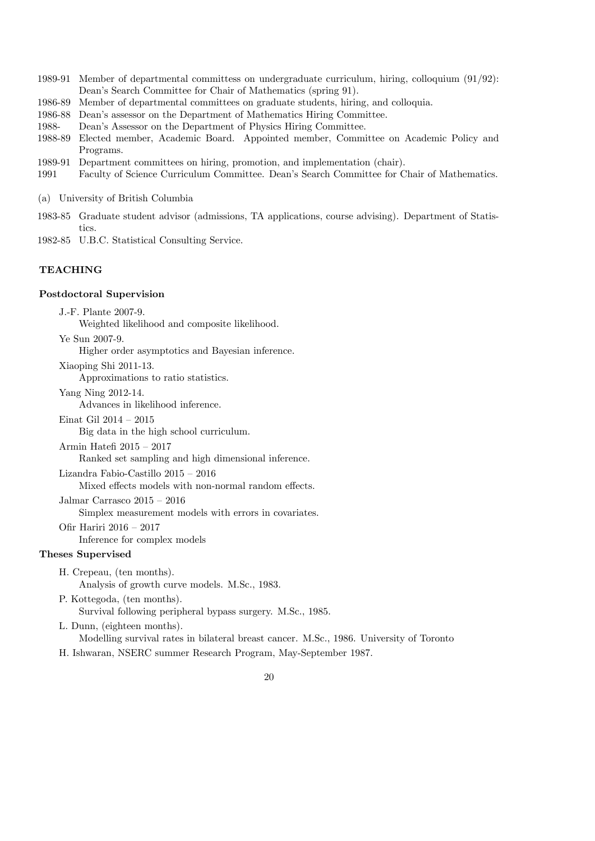- 1989-91 Member of departmental committess on undergraduate curriculum, hiring, colloquium (91/92): Dean's Search Committee for Chair of Mathematics (spring 91).
- 1986-89 Member of departmental committees on graduate students, hiring, and colloquia.
- 1986-88 Dean's assessor on the Department of Mathematics Hiring Committee.
- 1988- Dean's Assessor on the Department of Physics Hiring Committee.
- 1988-89 Elected member, Academic Board. Appointed member, Committee on Academic Policy and Programs.
- 1989-91 Department committees on hiring, promotion, and implementation (chair).
- 1991 Faculty of Science Curriculum Committee. Dean's Search Committee for Chair of Mathematics.
- (a) University of British Columbia
- 1983-85 Graduate student advisor (admissions, TA applications, course advising). Department of Statistics.

1982-85 U.B.C. Statistical Consulting Service.

# **TEACHING**

#### Postdoctoral Supervision

J.-F. Plante 2007-9.

Weighted likelihood and composite likelihood.

Ye Sun 2007-9.

Higher order asymptotics and Bayesian inference.

Xiaoping Shi 2011-13.

Approximations to ratio statistics.

Yang Ning 2012-14.

Advances in likelihood inference.

Einat Gil 2014 – 2015

Big data in the high school curriculum.

Armin Hatefi 2015 – 2017

Ranked set sampling and high dimensional inference.

Lizandra Fabio-Castillo 2015 – 2016

Mixed effects models with non-normal random effects.

Jalmar Carrasco 2015 – 2016

Ofir Hariri 2016 – 2017

Simplex measurement models with errors in covariates.

# Inference for complex models

Theses Supervised

- H. Crepeau, (ten months). Analysis of growth curve models. M.Sc., 1983.
- P. Kottegoda, (ten months). Survival following peripheral bypass surgery. M.Sc., 1985.
- L. Dunn, (eighteen months). Modelling survival rates in bilateral breast cancer. M.Sc., 1986. University of Toronto
- H. Ishwaran, NSERC summer Research Program, May-September 1987.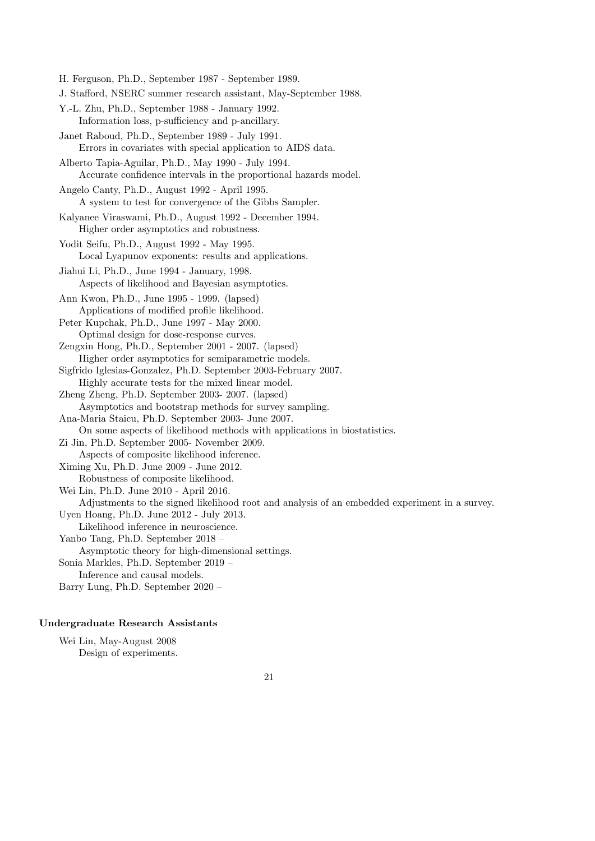H. Ferguson, Ph.D., September 1987 - September 1989. J. Stafford, NSERC summer research assistant, May-September 1988. Y.-L. Zhu, Ph.D., September 1988 - January 1992. Information loss, p-sufficiency and p-ancillary. Janet Raboud, Ph.D., September 1989 - July 1991. Errors in covariates with special application to AIDS data. Alberto Tapia-Aguilar, Ph.D., May 1990 - July 1994. Accurate confidence intervals in the proportional hazards model. Angelo Canty, Ph.D., August 1992 - April 1995. A system to test for convergence of the Gibbs Sampler. Kalyanee Viraswami, Ph.D., August 1992 - December 1994. Higher order asymptotics and robustness. Yodit Seifu, Ph.D., August 1992 - May 1995. Local Lyapunov exponents: results and applications. Jiahui Li, Ph.D., June 1994 - January, 1998. Aspects of likelihood and Bayesian asymptotics. Ann Kwon, Ph.D., June 1995 - 1999. (lapsed) Applications of modified profile likelihood. Peter Kupchak, Ph.D., June 1997 - May 2000. Optimal design for dose-response curves. Zengxin Hong, Ph.D., September 2001 - 2007. (lapsed) Higher order asymptotics for semiparametric models. Sigfrido Iglesias-Gonzalez, Ph.D. September 2003-February 2007. Highly accurate tests for the mixed linear model. Zheng Zheng, Ph.D. September 2003- 2007. (lapsed) Asymptotics and bootstrap methods for survey sampling. Ana-Maria Staicu, Ph.D. September 2003- June 2007. On some aspects of likelihood methods with applications in biostatistics. Zi Jin, Ph.D. September 2005- November 2009. Aspects of composite likelihood inference. Ximing Xu, Ph.D. June 2009 - June 2012. Robustness of composite likelihood. Wei Lin, Ph.D. June 2010 - April 2016. Adjustments to the signed likelihood root and analysis of an embedded experiment in a survey. Uyen Hoang, Ph.D. June 2012 - July 2013. Likelihood inference in neuroscience. Yanbo Tang, Ph.D. September 2018 – Asymptotic theory for high-dimensional settings. Sonia Markles, Ph.D. September 2019 – Inference and causal models. Barry Lung, Ph.D. September 2020 –

## Undergraduate Research Assistants

Wei Lin, May-August 2008 Design of experiments.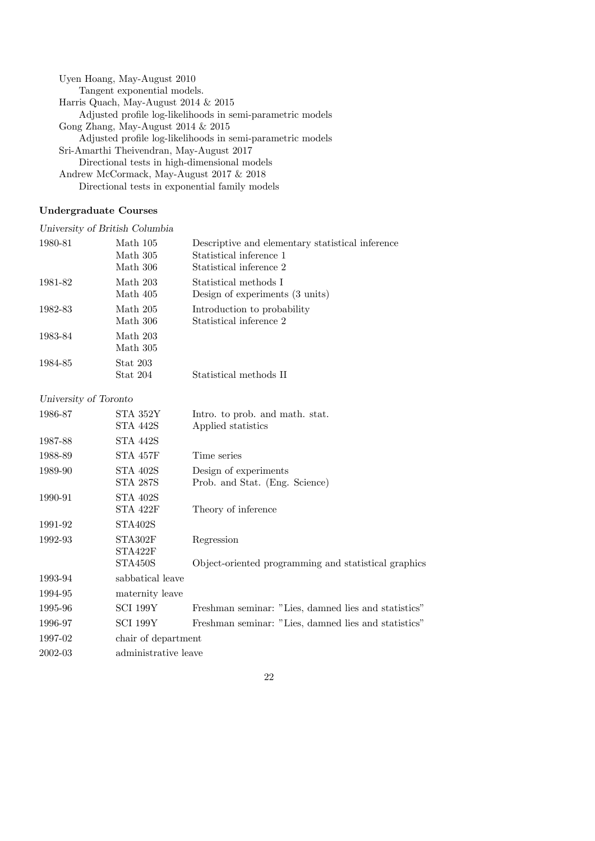Uyen Hoang, May-August 2010 Tangent exponential models. Harris Quach, May-August 2014 & 2015 Adjusted profile log-likelihoods in semi-parametric models Gong Zhang, May-August 2014 & 2015 Adjusted profile log-likelihoods in semi-parametric models Sri-Amarthi Theivendran, May-August 2017 Directional tests in high-dimensional models Andrew McCormack, May-August 2017 & 2018 Directional tests in exponential family models

# Undergraduate Courses

*University of British Columbia*

| 1980-81 | Math 105        | Descriptive and elementary statistical inference |
|---------|-----------------|--------------------------------------------------|
|         | Math 305        | Statistical inference 1                          |
|         | Math 306        | Statistical inference 2                          |
| 1981-82 | Math 203        | Statistical methods I                            |
|         | Math 405        | Design of experiments (3 units)                  |
| 1982-83 | Math 205        | Introduction to probability                      |
|         | Math 306        | Statistical inference 2                          |
| 1983-84 | Math 203        |                                                  |
|         | Math 305        |                                                  |
| 1984-85 | <b>Stat 203</b> |                                                  |
|         | Stat 204        | Statistical methods II                           |

*University of Toronto*

| 1986-87 | STA 352Y<br>STA 442S        | Intro. to prob. and math. stat.<br>Applied statistics   |
|---------|-----------------------------|---------------------------------------------------------|
| 1987-88 | STA 442S                    |                                                         |
| 1988-89 | STA 457F                    | Time series                                             |
| 1989-90 | <b>STA 402S</b><br>STA 287S | Design of experiments<br>Prob. and Stat. (Eng. Science) |
| 1990-91 | <b>STA 402S</b><br>STA 422F | Theory of inference                                     |
| 1991-92 | STA402S                     |                                                         |
| 1992-93 | STA302F<br>STA422F          | Regression                                              |
|         | STA450S                     | Object-oriented programming and statistical graphics    |
| 1993-94 | sabbatical leave            |                                                         |
| 1994-95 | maternity leave             |                                                         |
| 1995-96 | SCI 199Y                    | Freshman seminar: "Lies, damned lies and statistics"    |
| 1996-97 | <b>SCI 199Y</b>             | Freshman seminar: "Lies, damned lies and statistics"    |
| 1997-02 | chair of department         |                                                         |
| 2002-03 | administrative leave        |                                                         |
|         |                             |                                                         |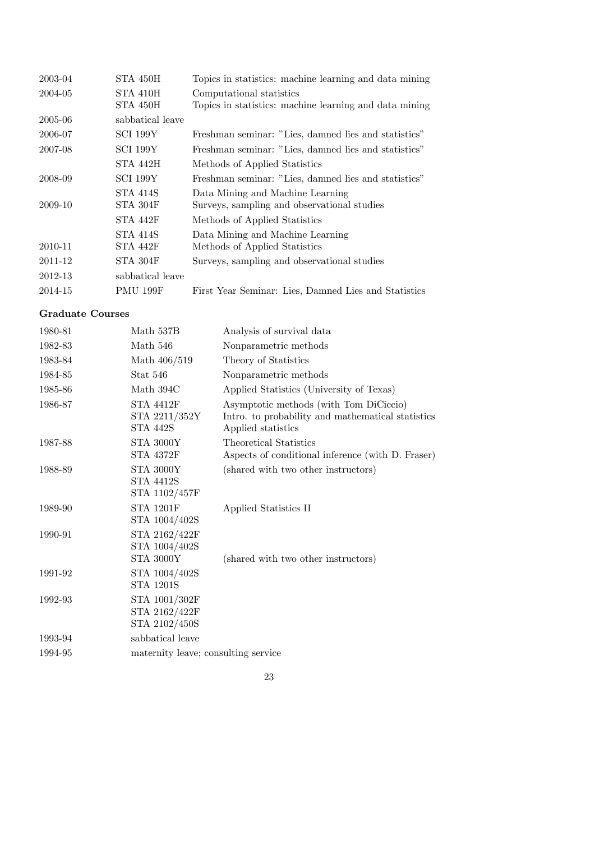| 2003-04 | STA 450H         | Topics in statistics: machine learning and data mining |
|---------|------------------|--------------------------------------------------------|
| 2004-05 | STA 410H         | Computational statistics                               |
|         | STA 450H         | Topics in statistics: machine learning and data mining |
| 2005-06 | sabbatical leave |                                                        |
| 2006-07 | SCI 199Y         | Freshman seminar: "Lies, damned lies and statistics"   |
| 2007-08 | <b>SCI 199Y</b>  | Freshman seminar: "Lies, damned lies and statistics"   |
|         | STA 442H         | Methods of Applied Statistics                          |
| 2008-09 | SCI 199Y         | Freshman seminar: "Lies, damned lies and statistics"   |
|         | <b>STA 414S</b>  | Data Mining and Machine Learning                       |
| 2009-10 | STA 304F         | Surveys, sampling and observational studies            |
|         | STA 442F         | Methods of Applied Statistics                          |
|         | <b>STA 414S</b>  | Data Mining and Machine Learning                       |
| 2010-11 | STA 442F         | Methods of Applied Statistics                          |
| 2011-12 | STA 304F         | Surveys, sampling and observational studies            |
| 2012-13 | sabbatical leave |                                                        |
| 2014-15 | <b>PMU 199F</b>  | First Year Seminar: Lies, Damned Lies and Statistics   |
|         |                  |                                                        |

# Graduate Courses

| 1980-81 | Math 537B                                             | Analysis of survival data                                                                                         |
|---------|-------------------------------------------------------|-------------------------------------------------------------------------------------------------------------------|
| 1982-83 | Math $546\,$                                          | Nonparametric methods                                                                                             |
| 1983-84 | Math 406/519                                          | Theory of Statistics                                                                                              |
| 1984-85 | Stat 546                                              | Nonparametric methods                                                                                             |
| 1985-86 | Math 394C                                             | Applied Statistics (University of Texas)                                                                          |
| 1986-87 | <b>STA 4412F</b><br>STA 2211/352Y<br><b>STA 442S</b>  | Asymptotic methods (with Tom DiCiccio)<br>Intro. to probability and mathematical statistics<br>Applied statistics |
| 1987-88 | <b>STA 3000Y</b><br>STA 4372F                         | <b>Theoretical Statistics</b><br>Aspects of conditional inference (with D. Fraser)                                |
| 1988-89 | <b>STA 3000Y</b><br><b>STA 4412S</b><br>STA 1102/457F | (shared with two other instructors)                                                                               |
| 1989-90 | <b>STA 1201F</b><br>STA 1004/402S                     | Applied Statistics II                                                                                             |
| 1990-91 | STA 2162/422F<br>STA 1004/402S<br><b>STA 3000Y</b>    | (shared with two other instructors)                                                                               |
| 1991-92 | STA 1004/402S<br><b>STA 1201S</b>                     |                                                                                                                   |
| 1992-93 | STA 1001/302F<br>STA 2162/422F<br>STA 2102/450S       |                                                                                                                   |
| 1993-94 | sabbatical leave                                      |                                                                                                                   |
| 1994-95 | maternity leave; consulting service                   |                                                                                                                   |